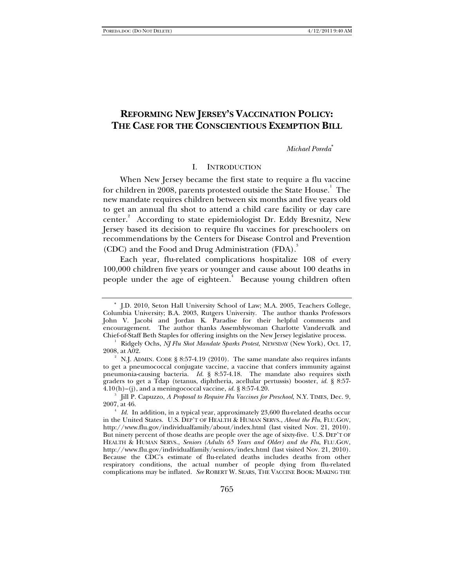# **REFORMING NEW JERSEY'S VACCINATION POLICY: THE CASE FOR THE CONSCIENTIOUS EXEMPTION BILL**

*Michael Poreda*<sup>∗</sup>

## I. INTRODUCTION

When New Jersey became the first state to require a flu vaccine for children in 2008, parents protested outside the State House. $^{\rm l}$  The new mandate requires children between six months and five years old to get an annual flu shot to attend a child care facility or day care center.<sup>2</sup> According to state epidemiologist Dr. Eddy Bresnitz, New Jersey based its decision to require flu vaccines for preschoolers on recommendations by the Centers for Disease Control and Prevention (CDC) and the Food and Drug Administration (FDA).<sup>3</sup>

Each year, flu-related complications hospitalize 108 of every 100,000 children five years or younger and cause about 100 deaths in people under the age of eighteen.<sup>4</sup> Because young children often

<sup>∗</sup> J.D. 2010, Seton Hall University School of Law; M.A. 2005, Teachers College, Columbia University; B.A. 2003, Rutgers University. The author thanks Professors John V. Jacobi and Jordan K. Paradise for their helpful comments and encouragement. The author thanks Assemblywoman Charlotte Vandervalk and Chief-of-Staff Beth Staples for offering insights on the New Jersey legislative process. 1

<sup>&</sup>lt;sup>1</sup> Ridgely Ochs,  $\overline{N}$  Flu Shot Mandate Sparks Protest, NEWSDAY (New York), Oct. 17, 2008, at A02. 2

<sup>&</sup>lt;sup>2</sup> N.J. ADMIN. CODE § 8:57-4.19 (2010). The same mandate also requires infants to get a pneumococcal conjugate vaccine, a vaccine that confers immunity against pneumonia-causing bacteria. *Id.* § 8:57-4.18. The mandate also requires sixth graders to get a Tdap (tetanus, diphtheria, acellular pertussis) booster, *id.* § 8:57-  $4.10(h)$ –(j), and a meningococcal vaccine, *id.* § 8:57-4.20.

Jill P. Capuzzo, *A Proposal to Require Flu Vaccines for Preschool*, N.Y. TIMES, Dec. 9,  $2007$ , at 46.

*Id.* In addition, in a typical year, approximately 23,600 flu-related deaths occur in the United States. U.S. DEP'T OF HEALTH & HUMAN SERVS., *About the Flu*, FLU.GOV, http://www.flu.gov/individualfamily/about/index.html (last visited Nov. 21, 2010). But ninety percent of those deaths are people over the age of sixty-five. U.S. DEP'T OF HEALTH & HUMAN SERVS., *Seniors (Adults 65 Years and Older) and the Flu*, FLU.GOV, http://www.flu.gov/individualfamily/seniors/index.html (last visited Nov. 21, 2010). Because the CDC's estimate of flu-related deaths includes deaths from other respiratory conditions, the actual number of people dying from flu-related complications may be inflated. *See* ROBERT W. SEARS, THE VACCINE BOOK: MAKING THE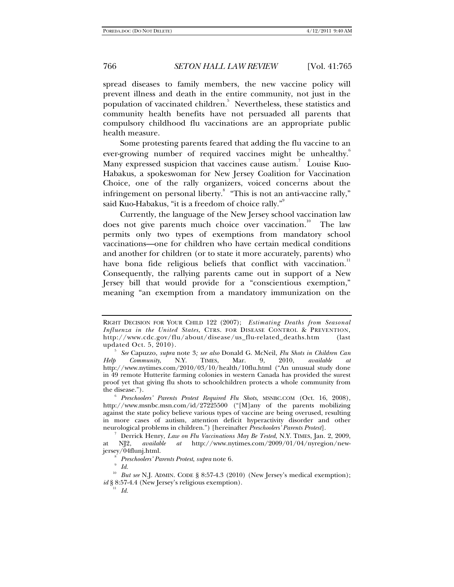spread diseases to family members, the new vaccine policy will prevent illness and death in the entire community, not just in the population of vaccinated children.<sup>5</sup> Nevertheless, these statistics and community health benefits have not persuaded all parents that compulsory childhood flu vaccinations are an appropriate public health measure.

Some protesting parents feared that adding the flu vaccine to an ever-growing number of required vaccines might be unhealthy.<sup>6</sup> Many expressed suspicion that vaccines cause autism.<sup>7</sup> Louise Kuo-Habakus, a spokeswoman for New Jersey Coalition for Vaccination Choice, one of the rally organizers, voiced concerns about the infringement on personal liberty.<sup>8</sup> "This is not an anti-vaccine rally," said Kuo-Habakus, "it is a freedom of choice rally."

Currently, the language of the New Jersey school vaccination law does not give parents much choice over vaccination.<sup>10</sup> The law permits only two types of exemptions from mandatory school vaccinations—one for children who have certain medical conditions and another for children (or to state it more accurately, parents) who have bona fide religious beliefs that conflict with vaccination.<sup>11</sup> Consequently, the rallying parents came out in support of a New Jersey bill that would provide for a "conscientious exemption," meaning "an exemption from a mandatory immunization on the

<sup>11</sup> *Id.*

RIGHT DECISION FOR YOUR CHILD 122 (2007); *Estimating Deaths from Seasonal Influenza in the United States*, CTRS. FOR DISEASE CONTROL & PREVENTION, http://www.cdc.gov/flu/about/disease/us\_flu-related\_deaths.htm (last updated Oct.  $5, 2010$ .

*See* Capuzzo, *supra* note 3*; see also* Donald G. McNeil, *Flu Shots in Children Can Help Community*, N.Y. TIMES, Mar. 9, 2010, *available at*  http://www.nytimes.com/2010/03/10/health/10flu.html ("An unusual study done in 49 remote Hutterite farming colonies in western Canada has provided the surest proof yet that giving flu shots to schoolchildren protects a whole community from the disease.").

*Preschoolers' Parents Protest Required Flu Shots*, MSNBC.COM (Oct. 16, 2008), http://www.msnbc.msn.com/id/27225500 ("[M]any of the parents mobilizing against the state policy believe various types of vaccine are being overused, resulting in more cases of autism, attention deficit hyperactivity disorder and other neurological problems in children.") [hereinafter *Preschoolers' Parents Protest*]. 7

Derrick Henry, *Law on Flu Vaccinations May Be Tested*, N.Y. TIMES, Jan. 2, 2009, at NJ2, *available at* http://www.nytimes.com/2009/01/04/nyregion/newjersey/04flunj.html. 8

*Preschoolers' Parents Protest*, *supra* note 6*.* 

<sup>9</sup>  *Id.*

<sup>&</sup>lt;sup>10</sup> But see N.J. ADMIN. CODE § 8:57-4.3 (2010) (New Jersey's medical exemption); *id* § 8:57-4.4 (New Jersey's religious exemption).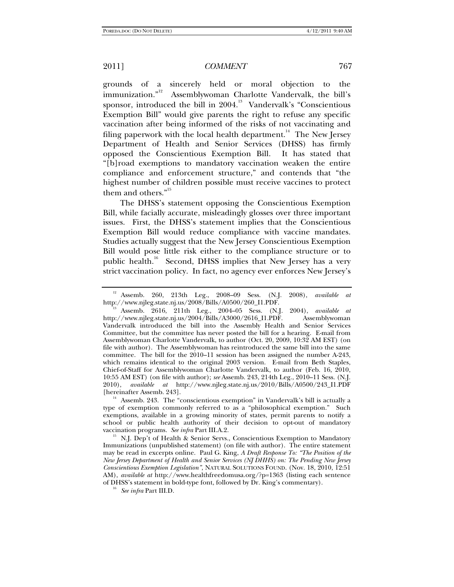grounds of a sincerely held or moral objection to the immunization."<sup>12</sup> Assemblywoman Charlotte Vandervalk, the bill's Assemblywoman Charlotte Vandervalk, the bill's sponsor, introduced the bill in  $2004$ <sup>13</sup> Vandervalk's "Conscientious" Exemption Bill" would give parents the right to refuse any specific vaccination after being informed of the risks of not vaccinating and filing paperwork with the local health department.<sup>14</sup> The New Jersey Department of Health and Senior Services (DHSS) has firmly opposed the Conscientious Exemption Bill. It has stated that "[b]road exemptions to mandatory vaccination weaken the entire compliance and enforcement structure," and contends that "the highest number of children possible must receive vaccines to protect them and others."<sup>15</sup>

The DHSS's statement opposing the Conscientious Exemption Bill, while facially accurate, misleadingly glosses over three important issues. First, the DHSS's statement implies that the Conscientious Exemption Bill would reduce compliance with vaccine mandates. Studies actually suggest that the New Jersey Conscientious Exemption Bill would pose little risk either to the compliance structure or to public health.<sup>16</sup> Second, DHSS implies that New Jersey has a very strict vaccination policy. In fact, no agency ever enforces New Jersey's

<sup>&</sup>lt;sup>12</sup> Assemb. 260, 213th Leg., 2008–09 Sess. (N.J. 2008), *available at* http://www.njleg.state.nj.us/2008/Bills/A0500/260\_11.PDF.

http://www.nj.us/2008/Bills/Adsemb. 2616, 211th Leg., 2004–05 Sess. (N.J. 2004), *available at* http://www.njleg.state.nj.us/2004/Bills/A3000/2616\_I1.PDF. Assemblywoman Vandervalk introduced the bill into the Assembly Health and Senior Services Committee, but the committee has never posted the bill for a hearing. E-mail from Assemblywoman Charlotte Vandervalk, to author (Oct. 20, 2009, 10:32 AM EST) (on file with author). The Assemblywoman has reintroduced the same bill into the same committee. The bill for the 2010–11 session has been assigned the number A-243, which remains identical to the original 2003 version. E-mail from Beth Staples, Chief-of-Staff for Assemblywoman Charlotte Vandervalk, to author (Feb. 16, 2010, 10:55 AM EST) (on file with author); *see* Assemb. 243, 214th Leg., 2010–11 Sess. (N.J. 2010), *available at* http://www.njleg.state.nj.us/2010/Bills/A0500/243\_I1.PDF

 $h$ <sup>14</sup> Assemb. 243. The "conscientious exemption" in Vandervalk's bill is actually a type of exemption commonly referred to as a "philosophical exemption." Such exemptions, available in a growing minority of states, permit parents to notify a school or public health authority of their decision to opt-out of mandatory

vaccination programs. *See infra* Part III.A.2.<br><sup>15</sup> N.J. Dep't of Health & Senior Servs., Conscientious Exemption to Mandatory Immunizations (unpublished statement) (on file with author). The entire statement may be read in excerpts online. Paul G. King, *A Draft Response To: "The Position of the New Jersey Department of Health and Senior Services (NJ DHHS) on: The Pending New Jersey Conscientious Exemption Legislation"*, NATURAL SOLUTIONS FOUND. (Nov. 18, 2010, 12:51 AM), *available at* http://www.healthfreedomusa.org/?p=1363 (listing each sentence of DHSS's statement in bold-type font, followed by Dr. King's commentary). 16 *See infra* Part III.D.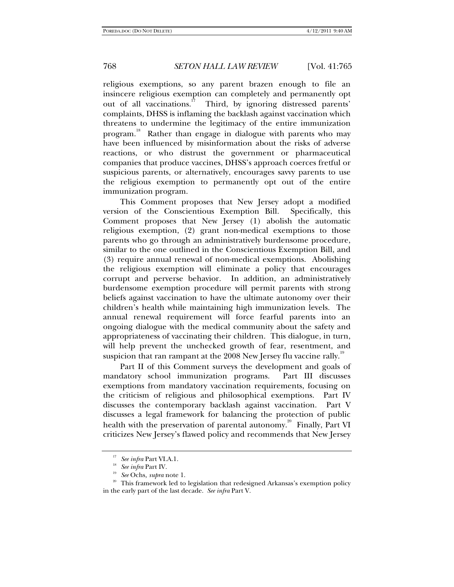religious exemptions, so any parent brazen enough to file an insincere religious exemption can completely and permanently opt out of all vaccinations.<sup>17</sup> Third, by ignoring distressed parents' complaints, DHSS is inflaming the backlash against vaccination which threatens to undermine the legitimacy of the entire immunization program.<sup>18</sup> Rather than engage in dialogue with parents who may have been influenced by misinformation about the risks of adverse reactions, or who distrust the government or pharmaceutical companies that produce vaccines, DHSS's approach coerces fretful or suspicious parents, or alternatively, encourages savive parents to use the religious exemption to permanently opt out of the entire immunization program.

This Comment proposes that New Jersey adopt a modified version of the Conscientious Exemption Bill. Specifically, this Comment proposes that New Jersey (1) abolish the automatic religious exemption, (2) grant non-medical exemptions to those parents who go through an administratively burdensome procedure, similar to the one outlined in the Conscientious Exemption Bill, and (3) require annual renewal of non-medical exemptions. Abolishing the religious exemption will eliminate a policy that encourages corrupt and perverse behavior. In addition, an administratively burdensome exemption procedure will permit parents with strong beliefs against vaccination to have the ultimate autonomy over their children's health while maintaining high immunization levels. The annual renewal requirement will force fearful parents into an ongoing dialogue with the medical community about the safety and appropriateness of vaccinating their children. This dialogue, in turn, will help prevent the unchecked growth of fear, resentment, and suspicion that ran rampant at the  $2008$  New Jersey flu vaccine rally.<sup>19</sup>

Part II of this Comment surveys the development and goals of mandatory school immunization programs. Part III discusses exemptions from mandatory vaccination requirements, focusing on the criticism of religious and philosophical exemptions. Part IV discusses the contemporary backlash against vaccination. Part V discusses a legal framework for balancing the protection of public health with the preservation of parental autonomy.<sup>20</sup> Finally, Part VI criticizes New Jersey's flawed policy and recommends that New Jersey

<sup>&</sup>lt;sup>17</sup> See infra Part VI.A.1.<br><sup>18</sup> See infra Part IV.<br><sup>19</sup> See Ochs, *supra* note 1.<br><sup>20</sup> This framework led to legislation that redesigned Arkansas's exemption policy in the early part of the last decade. *See infra* Part V.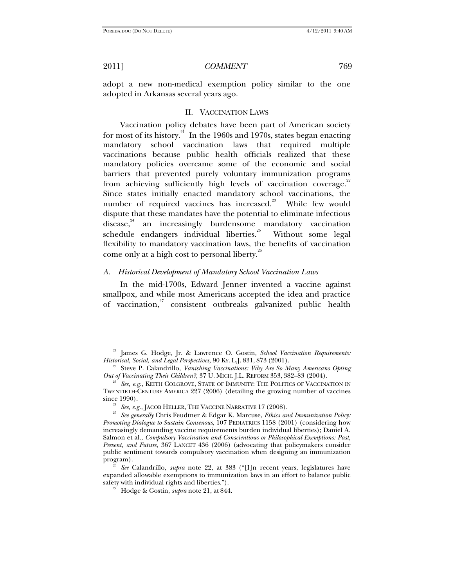adopt a new non-medical exemption policy similar to the one adopted in Arkansas several years ago.

### II. VACCINATION LAWS

Vaccination policy debates have been part of American society for most of its history.<sup>21</sup> In the 1960s and 1970s, states began enacting mandatory school vaccination laws that required multiple vaccinations because public health officials realized that these mandatory policies overcame some of the economic and social barriers that prevented purely voluntary immunization programs from achieving sufficiently high levels of vaccination coverage.<sup>22</sup> Since states initially enacted mandatory school vaccinations, the number of required vaccines has increased.<sup>23</sup> While few would dispute that these mandates have the potential to eliminate infectious disease,<sup>24</sup> an increasingly burdensome mandatory vaccination schedule endangers individual liberties.<sup>25</sup> Without some legal flexibility to mandatory vaccination laws, the benefits of vaccination come only at a high cost to personal liberty.<sup>26</sup>

#### *A. Historical Development of Mandatory School Vaccination Laws*

In the mid-1700s, Edward Jenner invented a vaccine against smallpox, and while most Americans accepted the idea and practice of vaccination,<sup>27</sup> consistent outbreaks galvanized public health

<sup>&</sup>lt;sup>21</sup> James G. Hodge, Jr. & Lawrence O. Gostin, *School Vaccination Requirements: Historical, Social, and Legal Perspectives*, 90 Ky. L.J. 831, 873 (2001).

<sup>&</sup>lt;sup>22</sup> Steve P. Calandrillo, *Vanishing Vaccinations: Why Are So Many Americans Opting Out of Vaccinating Their Children?*, 37 U. MICH. J.L. REFORM 353, 382–83 (2004).<br><sup>23</sup> See, e.g., KEITH COLGROVE, STATE OF IMMUNITY: THE POLITICS OF VACCINATION IN

TWENTIETH-CENTURY AMERICA 227 (2006) (detailing the growing number of vaccines

since 1990). 24 *See, e.g.*, JACOB HELLER, THE VACCINE NARRATIVE 17 (2008). 25 *See generally* Chris Feudtner & Edgar K. Marcuse, *Ethics and Immunization Policy: Promoting Dialogue to Sustain Consensus*, 107 PEDIATRICS 1158 (2001) (considering how increasingly demanding vaccine requirements burden individual liberties); Daniel A. Salmon et al., *Compulsory Vaccination and Conscientious or Philosophical Exemptions: Past, Present, and Future*, 367 LANCET 436 (2006) (advocating that policymakers consider public sentiment towards compulsory vaccination when designing an immunization

See Calandrillo, *supra* note 22, at 383 ("[I]n recent years, legislatures have expanded allowable exemptions to immunization laws in an effort to balance public

 $s^2$ <sup>27</sup> Hodge & Gostin, *supra* note 21, at 844.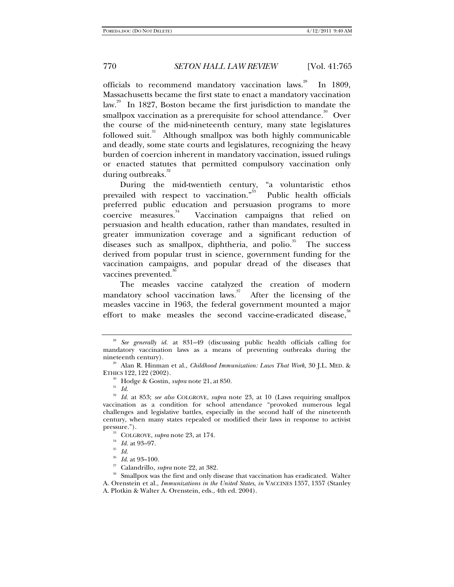officials to recommend mandatory vaccination laws.<sup>28</sup> In 1809, Massachusetts became the first state to enact a mandatory vaccination law.<sup>29</sup> In 1827, Boston became the first jurisdiction to mandate the smallpox vaccination as a prerequisite for school attendance.<sup>30</sup> Over the course of the mid-nineteenth century, many state legislatures followed suit. $31$  Although smallpox was both highly communicable and deadly, some state courts and legislatures, recognizing the heavy burden of coercion inherent in mandatory vaccination, issued rulings or enacted statutes that permitted compulsory vaccination only during outbreaks. $32$ 

During the mid-twentieth century, "a voluntaristic ethos prevailed with respect to vaccination."<sup>33</sup> Public health officials preferred public education and persuasion programs to more coercive measures.<sup>34</sup> Vaccination campaigns that relied on persuasion and health education, rather than mandates, resulted in greater immunization coverage and a significant reduction of diseases such as smallpox, diphtheria, and polio. $35$  The success derived from popular trust in science, government funding for the vaccination campaigns, and popular dread of the diseases that vaccines prevented.<sup>36</sup>

The measles vaccine catalyzed the creation of modern mandatory school vaccination laws.<sup>37</sup> After the licensing of the measles vaccine in 1963, the federal government mounted a major effort to make measles the second vaccine-eradicated disease,<sup>38</sup>

<sup>28</sup> *See generally id.* at 831–49 (discussing public health officials calling for mandatory vaccination laws as a means of preventing outbreaks during the nineteenth century). 29 Alan R. Hinman et al., *Childhood Immunization: Laws That Work*, 30 J.L. MED. &

ETHICS 122, <sup>122</sup> (2002). 30 Hodge & Gostin, *supra* note 21, at 850. 31 *Id.*

<sup>32</sup> *Id.* at 853; *see also* COLGROVE, *supra* note 23, at 10 (Laws requiring smallpox vaccination as a condition for school attendance "provoked numerous legal challenges and legislative battles, especially in the second half of the nineteenth century, when many states repealed or modified their laws in response to activist

<sup>&</sup>lt;sup>33</sup> COLGROVE, *supra* note 23, at 174.<br><sup>34</sup> *Id.* at 93–97.<br><sup>35</sup> *Id. Id.* at 93–100.

<sup>&</sup>lt;sup>37</sup> Calandrillo, *supra* note 22, at 382.<br><sup>38</sup> Smallpox was the first and only disease that vaccination has eradicated. Walter A. Orenstein et al., *Immunizations in the United States*, *in* VACCINES 1357, 1357 (Stanley A. Plotkin & Walter A. Orenstein, eds., 4th ed. 2004).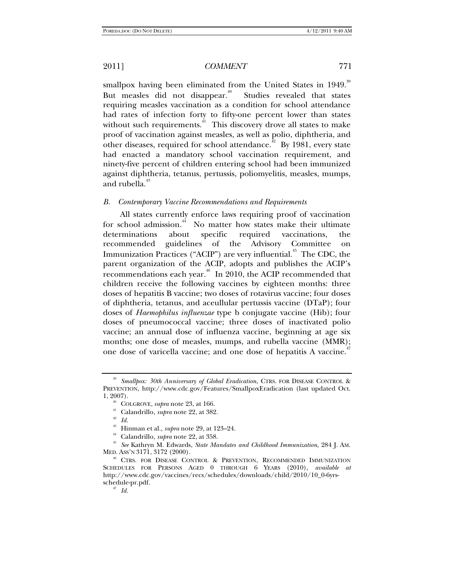smallpox having been eliminated from the United States in 1949.<sup>39</sup> But measles did not disappear.<sup>40</sup> Studies revealed that states requiring measles vaccination as a condition for school attendance had rates of infection forty to fifty-one percent lower than states without such requirements. $\frac{41}{1}$  This discovery drove all states to make proof of vaccination against measles, as well as polio, diphtheria, and other diseases, required for school attendance.<sup> $42$ </sup> By 1981, every state had enacted a mandatory school vaccination requirement, and ninety-five percent of children entering school had been immunized against diphtheria, tetanus, pertussis, poliomyelitis, measles, mumps, and rubella.<sup>43</sup>

### *B. Contemporary Vaccine Recommendations and Requirements*

All states currently enforce laws requiring proof of vaccination for school admission.<sup>44</sup> No matter how states make their ultimate determinations about specific required vaccinations, the recommended guidelines of the Advisory Committee on Immunization Practices ("ACIP") are very influential.<sup> $45$ </sup> The CDC, the parent organization of the ACIP, adopts and publishes the ACIP's recommendations each year.<sup>46</sup> In 2010, the ACIP recommended that children receive the following vaccines by eighteen months: three doses of hepatitis B vaccine; two doses of rotavirus vaccine; four doses of diphtheria, tetanus, and aceullular pertussis vaccine (DTaP); four doses of *Haemophilus influenzae* type b conjugate vaccine (Hib); four doses of pneumococcal vaccine; three doses of inactivated polio vaccine; an annual dose of influenza vaccine, beginning at age six months; one dose of measles, mumps, and rubella vaccine (MMR); one dose of varicella vaccine; and one dose of hepatitis A vaccine.<sup>4</sup>

<sup>39</sup> *Smallpox: 30th Anniversary of Global Eradication*, CTRS. FOR DISEASE CONTROL & PREVENTION, http://www.cdc.gov/Features/SmallpoxEradication (last updated Oct.

<sup>&</sup>lt;sup>40</sup> COLGROVE, *supra* note 23, at 166.<br><sup>41</sup> Calandrillo, *supra* note 22, at 382.<br><sup>43</sup> Hinman et al., *supra* note 29, at 123–24.

<sup>&</sup>lt;sup>44</sup> Calandrillo, *supra* note 22, at 358.<br><sup>45</sup> See Kathryn M. Edwards, *State Mandates and Childhood Immunization*, 284 J. AM.<br>MED. ASS'N 3171, 3172 (2000).

<sup>&</sup>lt;sup>46</sup> CTRS. FOR DISEASE CONTROL & PREVENTION, RECOMMENDED IMMUNIZATION SCHEDULES FOR PERSONS AGED 0 THROUGH 6 YEARS (2010), *available at* http://www.cdc.gov/vaccines/recs/schedules/downloads/child/2010/10\_0-6yrsschedule-pr.pdf. 47 *Id.*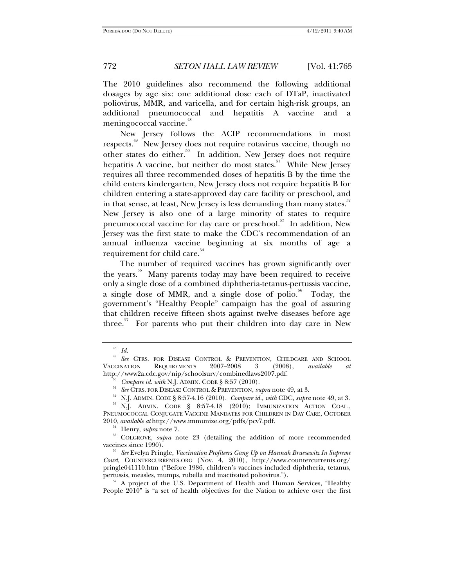The 2010 guidelines also recommend the following additional dosages by age six: one additional dose each of DTaP, inactivated poliovirus, MMR, and varicella, and for certain high-risk groups, an additional pneumococcal and hepatitis A vaccine and a meningococcal vaccine.<sup>48</sup>

New Jersey follows the ACIP recommendations in most respects.<sup>49</sup> New Jersey does not require rotavirus vaccine, though no other states do either.<sup>50</sup> In addition, New Jersey does not require hepatitis A vaccine, but neither do most states.<sup>51</sup> While New Jersey requires all three recommended doses of hepatitis B by the time the child enters kindergarten, New Jersey does not require hepatitis B for children entering a state-approved day care facility or preschool, and in that sense, at least, New Jersey is less demanding than many states.<sup>32</sup> New Jersey is also one of a large minority of states to require pneumococcal vaccine for day care or preschool.<sup>53</sup> In addition, New Jersey was the first state to make the CDC's recommendation of an annual influenza vaccine beginning at six months of age a requirement for child care.<sup>54</sup>

The number of required vaccines has grown significantly over the years.<sup>55</sup> Many parents today may have been required to receive only a single dose of a combined diphtheria-tetanus-pertussis vaccine, a single dose of MMR, and a single dose of polio.<sup>56</sup> Today, the government's "Healthy People" campaign has the goal of assuring that children receive fifteen shots against twelve diseases before age three.<sup>57</sup> For parents who put their children into day care in New

<sup>48</sup> *Id.*

<sup>49</sup> *See* CTRS. FOR DISEASE CONTROL & PREVENTION, CHILDCARE AND SCHOOL VACCINATION REQUIREMENTS 2007–2008 3 (2008), *available at*

http://www2a.cdc.gov/nip/schoolsurv/combinedlaws2007.pdf.<br><sup>50</sup> *Compare id. with* N.J. ADMIN. CODE § 8:57 (2010).<br><sup>51</sup> *See* CTRS. FOR DISEASE CONTROL & PREVENTION, *supra* note 49, at 3.

<sup>&</sup>lt;sup>52</sup> N.J. ADMIN. CODE § 8:57-4.16 (2010). *Compare id., with* CDC, *supra* note 49, at 3.<br><sup>53</sup> N.J. ADMIN. CODE § 8:57-4.18 (2010); IMMUNIZATION ACTION COAL.,

PNEUMOCOCCAL CONJUGATE VACCINE MANDATES FOR CHILDREN IN DAY CARE, OCTOBER 2010, *available at* http://www.immunize.org/pdfs/pcv7.pdf.

<sup>&</sup>lt;sup>54</sup> Henry, *supra* note 7.<br><sup>55</sup> COLGROVE, *supra* note 23 (detailing the addition of more recommended vaccines since 1990).

<sup>&</sup>lt;sup>56</sup> See Evelyn Pringle, *Vaccination Profiteers Gang Up on Hannah Bruesewitz In Supreme Court*, COUNTERCURRENTS.ORG (Nov. 4, 2010), http://www.countercurrents.org/ pringle041110.htm ("Before 1986, children's vaccines included diphtheria, tetanus,

 $p^{57}$  A project of the U.S. Department of Health and Human Services, "Healthy People 2010" is "a set of health objectives for the Nation to achieve over the first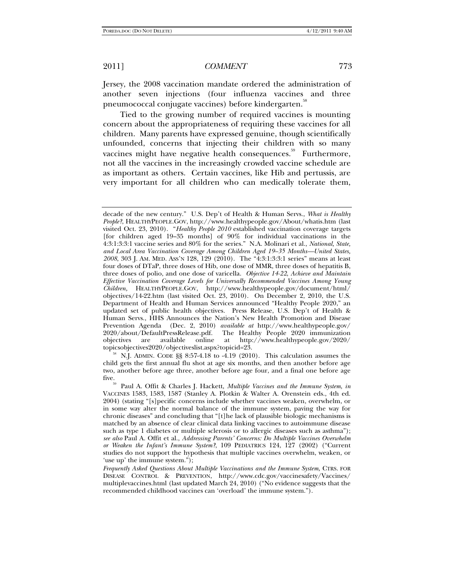Jersey, the 2008 vaccination mandate ordered the administration of another seven injections (four influenza vaccines and three pneumococcal conjugate vaccines) before kindergarten.<sup>88</sup>

Tied to the growing number of required vaccines is mounting concern about the appropriateness of requiring these vaccines for all children. Many parents have expressed genuine, though scientifically unfounded, concerns that injecting their children with so many vaccines might have negative health consequences.<sup>59</sup> Furthermore, not all the vaccines in the increasingly crowded vaccine schedule are as important as others. Certain vaccines, like Hib and pertussis, are very important for all children who can medically tolerate them,

 $58$  N.J. ADMIN. CODE §§ 8:57-4.18 to -4.19 (2010). This calculation assumes the child gets the first annual flu shot at age six months, and then another before age two, another before age three, another before age four, and a final one before age

decade of the new century." U.S. Dep't of Health & Human Servs., *What is Healthy People?*, HEALTHYPEOPLE.GOV, http://www.healthypeople.gov/About/whatis.htm (last visited Oct. 23, 2010). "*Healthy People 2010* established vaccination coverage targets [for children aged 19–35 months] of 90% for individual vaccinations in the 4:3:1:3:3:1 vaccine series and 80% for the series." N.A. Molinari et al., *National, State, and Local Area Vaccination Coverage Among Children Aged 19–35 Months—United States, 2008*, 303 J. AM. MED. ASS'N 128, 129 (2010). The "4:3:1:3:3:1 series" means at least four doses of DTaP, three doses of Hib, one dose of MMR, three doses of hepatitis B, three doses of polio, and one dose of varicella. *Objective 14-22*, *Achieve and Maintain Effective Vaccination Coverage Levels for Universally Recommended Vaccines Among Young Children,* HEALTHYPEOPLE.GOV, http://www.healthypeople.gov/document/html/ objectives/14-22.htm (last visited Oct. 23, 2010). On December 2, 2010, the U.S. Department of Health and Human Services announced "Healthy People 2020," an updated set of public health objectives. Press Release, U.S. Dep't of Health & Human Servs., HHS Announces the Nation's New Health Promotion and Disease Prevention Agenda (Dec. 2, 2010) *available at* http://www.healthypeople.gov/ 2020/about/DefaultPressRelease.pdf. The Healthy People 2020 immunization objectives are available online at http://www.healthypeople.gov/2020/ objectives are available online at http://www.healthypeople.gov/2020/

five. 59 Paul A. Offit & Charles J. Hackett, *Multiple Vaccines and the Immune System*, *in* VACCINES 1583, 1583, 1587 (Stanley A. Plotkin & Walter A. Orenstein eds., 4th ed. 2004) (stating "[s]pecific concerns include whether vaccines weaken, overwhelm, or in some way alter the normal balance of the immune system, paving the way for chronic diseases" and concluding that "[t]he lack of plausible biologic mechanisms is matched by an absence of clear clinical data linking vaccines to autoimmune disease such as type 1 diabetes or multiple sclerosis or to allergic diseases such as asthma"); *see also* Paul A. Offit et al., *Addressing Parents' Concerns: Do Multiple Vaccines Overwhelm or Weaken the Infant's Immune System?*, 109 PEDIATRICS 124, 127 (2002) ("Current studies do not support the hypothesis that multiple vaccines overwhelm, weaken, or 'use up' the immune system.");

*Frequently Asked Questions About Multiple Vaccinations and the Immune System*, CTRS. FOR DISEASE CONTROL & PREVENTION, http://www.cdc.gov/vaccinesafety/Vaccines/ multiplevaccines.html (last updated March 24, 2010) ("No evidence suggests that the recommended childhood vaccines can 'overload' the immune system.").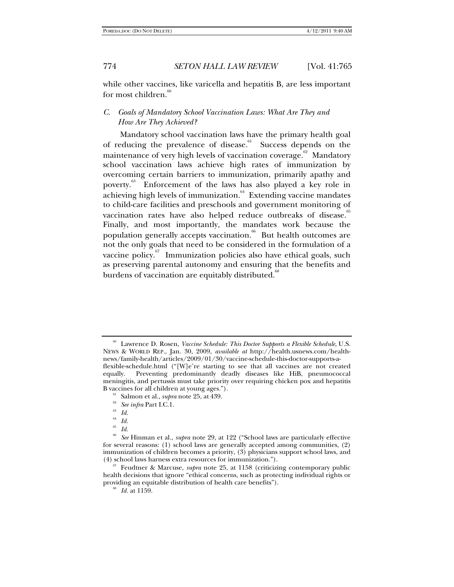while other vaccines, like varicella and hepatitis B, are less important for most children.<sup>6</sup>

# *C. Goals of Mandatory School Vaccination Laws: What Are They and How Are They Achieved?*

Mandatory school vaccination laws have the primary health goal of reducing the prevalence of disease.<sup>61</sup> Success depends on the maintenance of very high levels of vaccination coverage.<sup>62</sup> Mandatory school vaccination laws achieve high rates of immunization by overcoming certain barriers to immunization, primarily apathy and poverty.<sup>63</sup> Enforcement of the laws has also played a key role in achieving high levels of immunization.<sup>64</sup> Extending vaccine mandates to child-care facilities and preschools and government monitoring of vaccination rates have also helped reduce outbreaks of disease.<sup>65</sup> Finally, and most importantly, the mandates work because the population generally accepts vaccination.<sup>66</sup> But health outcomes are not the only goals that need to be considered in the formulation of a vaccine policy. $\frac{67}{7}$  Immunization policies also have ethical goals, such as preserving parental autonomy and ensuring that the benefits and burdens of vaccination are equitably distributed.<sup>88</sup>

<sup>60</sup> Lawrence D. Rosen, *Vaccine Schedule: This Doctor Supports a Flexible Schedule*, U.S. NEWS & WORLD REP., Jan. 30, 2009, *available at* http://health.usnews.com/healthnews/family-health/articles/2009/01/30/vaccine-schedule-this-doctor-supports-aflexible-schedule.html ("[W]e're starting to see that all vaccines are not created equally. Preventing predominantly deadly diseases like HiB, pneumococcal meningitis, and pertussis must take priority over requiring chicken pox and hepatitis

B vaccines for all children at young ages.").<br><sup>61</sup> Salmon et al., *supra* note 25, at 439.<br><sup>62</sup> *See infra* Part I.C.1.<br><sup>63</sup> *Id.* 

 $\int_{65}^{64}$  *Id.* 

 $\frac{65}{66}$  *Id.* 

<sup>66</sup> *See* Hinman et al., *supra* note 29, at 122 ("School laws are particularly effective for several reasons: (1) school laws are generally accepted among communities, (2) immunization of children becomes a priority, (3) physicians support school laws, and

Feudtner & Marcuse, *supra* note 25, at 1158 (criticizing contemporary public health decisions that ignore "ethical concerns, such as protecting individual rights or providing an equitable distribution of health care benefits"). 68 *Id.* at 1159.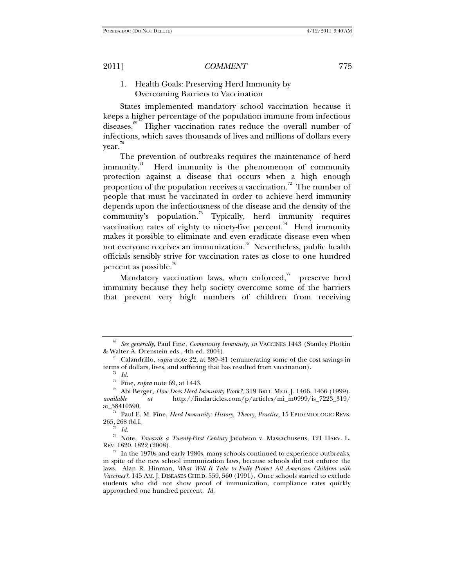# 1. Health Goals: Preserving Herd Immunity by Overcoming Barriers to Vaccination

States implemented mandatory school vaccination because it keeps a higher percentage of the population immune from infectious diseases.<sup>69</sup> Higher vaccination rates reduce the overall number of infections, which saves thousands of lives and millions of dollars every year.<sup>70</sup>

The prevention of outbreaks requires the maintenance of herd immunity. $\frac{1}{1}$  Herd immunity is the phenomenon of community protection against a disease that occurs when a high enough proportion of the population receives a vaccination.<sup>72</sup> The number of people that must be vaccinated in order to achieve herd immunity depends upon the infectiousness of the disease and the density of the community's population.<sup>73</sup> Typically, herd immunity requires vaccination rates of eighty to ninety-five percent.<sup>74</sup> Herd immunity makes it possible to eliminate and even eradicate disease even when not everyone receives an immunization.75 Nevertheless, public health officials sensibly strive for vaccination rates as close to one hundred percent as possible.<sup>76</sup>

Mandatory vaccination laws, when enforced, $\bar{r}$  preserve herd immunity because they help society overcome some of the barriers that prevent very high numbers of children from receiving

<sup>&</sup>lt;sup>69</sup> See generally, Paul Fine, *Community Immunity*, *in* VACCINES 1443 (Stanley Plotkin & Walter A. Orenstein eds., 4th ed. 2004).

<sup>&</sup>lt;sup>70</sup> Calandrillo, *supra* note 22, at 380–81 (enumerating some of the cost savings in terms of dollars, lives, and suffering that has resulted from vaccination).<br><sup>71</sup> *Id.* Fine, *supra* note 69, at 1443.

<sup>&</sup>lt;sup>73</sup> Abi Berger, *How Does Herd Immunity Work*?, 319 BRIT. MED. J. 1466, 1466 (1999), *available at* http://findarticles.com/p/articles/mi\_m0999/is\_7223\_319/

ai\_58410590.<br><sup>74</sup> Paul E. M. Fine, *Herd Immunity: History, Theory, Practice*, 15 EPIDEMIOLOGIC REVS. 265, <sup>268</sup> tbl.I. 75 *Id.*

<sup>76</sup> Note, *Towards a Twenty-First Century* Jacobson v. Massachusetts, 121 HARV. L. REV. 1820, 1822 (2008).  $\frac{77}{7}$  In the 1970s and early 1980s, many schools continued to experience outbreaks,

in spite of the new school immunization laws, because schools did not enforce the laws. Alan R. Hinman, *What Will It Take to Fully Protect All American Children with Vaccines?*, 145 AM. J. DISEASES CHILD. 559, 560 (1991). Once schools started to exclude students who did not show proof of immunization, compliance rates quickly approached one hundred percent. *Id.*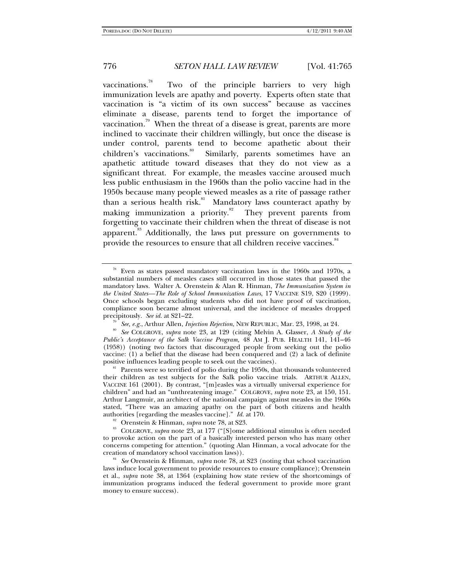vaccinations. $\sqrt[3]{\ }$  Two of the principle barriers to very high immunization levels are apathy and poverty. Experts often state that vaccination is "a victim of its own success" because as vaccines eliminate a disease, parents tend to forget the importance of vaccination.<sup>79</sup> When the threat of a disease is great, parents are more inclined to vaccinate their children willingly, but once the disease is under control, parents tend to become apathetic about their children's vaccinations.<sup>80</sup> Similarly, parents sometimes have an apathetic attitude toward diseases that they do not view as a significant threat. For example, the measles vaccine aroused much less public enthusiasm in the 1960s than the polio vaccine had in the 1950s because many people viewed measles as a rite of passage rather than a serious health risk.<sup>81</sup> Mandatory laws counteract apathy by making immunization a priority.<sup>82</sup> They prevent parents from forgetting to vaccinate their children when the threat of disease is not apparent.<sup>83</sup> Additionally, the laws put pressure on governments to provide the resources to ensure that all children receive vaccines.<sup>84</sup>

Even as states passed mandatory vaccination laws in the 1960s and 1970s, a substantial numbers of measles cases still occurred in those states that passed the mandatory laws. Walter A. Orenstein & Alan R. Hinman, *The Immunization System in the United States—The Role of School Immunization Laws*, 17 VACCINE S19, S20 (1999). Once schools began excluding students who did not have proof of vaccination, compliance soon became almost universal, and the incidence of measles dropped precipitously. See id. at S21-22.

<sup>&</sup>lt;sup>79</sup> See, e.g., Arthur Allen, *Injection Rejection*, NEW REPUBLIC, Mar. 23, 1998, at 24.<br><sup>80</sup> See COLGROVE, *supra* note 23, at 129 (citing Melvin A. Glasser, *A Study of the Public's Acceptance of the Salk Vaccine Program,* 48 AM J. PUB. HEALTH 141, 141–46 (1958)) (noting two factors that discouraged people from seeking out the polio vaccine: (1) a belief that the disease had been conquered and (2) a lack of definite

<sup>&</sup>lt;sup>81</sup> Parents were so terrified of polio during the 1950s, that thousands volunteered their children as test subjects for the Salk polio vaccine trials. ARTHUR ALLEN, VACCINE 161 (2001). By contrast, "[m]easles was a virtually universal experience for children" and had an "unthreatening image."COLGROVE, *supra* note 23, at 150, 151. Arthur Langmuir, an architect of the national campaign against measles in the 1960s stated, "There was an amazing apathy on the part of both citizens and health authorities [regarding the measles vaccine]."  $Id$  at 170.

<sup>&</sup>lt;sup>82</sup> Orenstein & Hinman, *supra* note 78, at S23.<br><sup>83</sup> COLGROVE, *supra* note 23, at 177 ("[S]ome additional stimulus is often needed to provoke action on the part of a basically interested person who has many other concerns competing for attention." (quoting Alan Hinman, a vocal advocate for the creation of mandatory school vaccination laws)). 84 *See* Orenstein & Hinman, *supra* note 78, at S23 (noting that school vaccination

laws induce local government to provide resources to ensure compliance); Orenstein et al., *supra* note 38, at 1364 (explaining how state review of the shortcomings of immunization programs induced the federal government to provide more grant money to ensure success).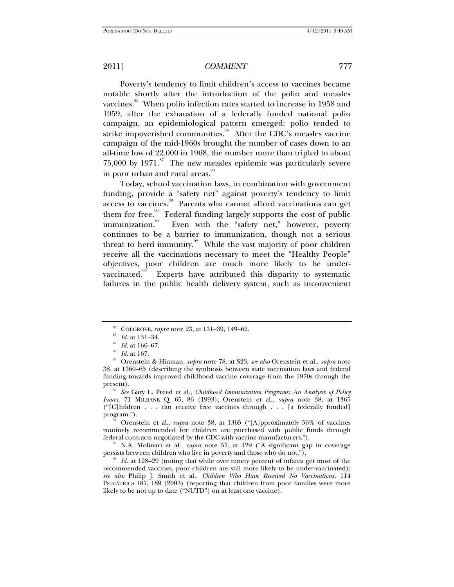Poverty's tendency to limit children's access to vaccines became notable shortly after the introduction of the polio and measles vaccines.<sup>85</sup> When polio infection rates started to increase in 1958 and 1959, after the exhaustion of a federally funded national polio campaign, an epidemiological pattern emerged: polio tended to strike impoverished communities.<sup>86</sup> After the CDC's measles vaccine campaign of the mid-1960s brought the number of cases down to an all-time low of 22,000 in 1968, the number more than tripled to about 75,000 by  $1971$ .<sup>87</sup> The new measles epidemic was particularly severe in poor urban and rural areas.<sup>88</sup>

Today, school vaccination laws, in combination with government funding, provide a "safety net" against poverty's tendency to limit access to vaccines.<sup>89</sup> Parents who cannot afford vaccinations can get them for free.<sup>90</sup> Federal funding largely supports the cost of public immunization.<sup>91</sup> Even with the "safety net," however, poverty Even with the "safety net," however, poverty continues to be a barrier to immunization, though not a serious threat to herd immunity. $92$  While the vast majority of poor children receive all the vaccinations necessary to meet the "Healthy People" objectives, poor children are much more likely to be undervaccinated.<sup>93</sup> Experts have attributed this disparity to systematic failures in the public health delivery system, such as inconvenient

COLGROVE, *supra* note 23, at 131–39, 149–62.<br> *Id.* at 131–34.<br> *Id.* at 166–67.<br> *Id.* at 167.<br>
Orenstein & Hinman, *supra* note 78, at S23; *see also* Orenstein et al., *supra* note 38, at 1360–65 (describing the symbiosis between state vaccination laws and federal funding towards improved childhood vaccine coverage from the 1970s through the present). 90 *See* Gary L. Freed et al., *Childhood Immunization Programs: An Analysis of Policy* 

*Issues,* 71 MILBANK Q. 65, 86 (1993); Orenstein et al., *supra* note 38, at 1365 ("[C]hildren . . . can receive free vaccines through . . . [a federally funded] program."). 91 Orenstein et al., *supra* note 38, at 1365 ("[A]pproximately 56% of vaccines

routinely recommended for children are purchased with public funds through

federal contracts negotiated by the CDC with vaccine manufacturers."). 92 N.A. Molinari et al., *supra* note 57, at 129 ("A significant gap in coverage persists between children who live in poverty and those who do not.").<br><sup>93</sup> Id. at 128–29 (noting that while over ninety percent of infants get most of the

recommended vaccines, poor children are still more likely to be under-vaccinated); *see also* Philip J. Smith et al., *Children Who Have Received No Vaccinations*, 114 PEDIATRICS 187, 189 (2003) (reporting that children from poor families were more likely to be not up to date ("NUTD") on at least one vaccine).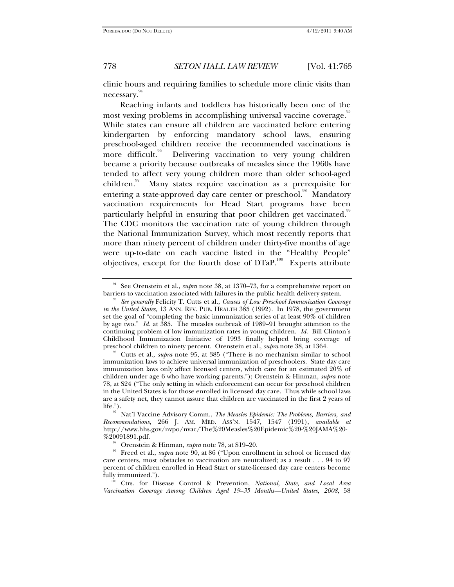clinic hours and requiring families to schedule more clinic visits than necessary.

Reaching infants and toddlers has historically been one of the most vexing problems in accomplishing universal vaccine coverage.<sup>95</sup> While states can ensure all children are vaccinated before entering kindergarten by enforcing mandatory school laws, ensuring preschool-aged children receive the recommended vaccinations is more difficult.<sup>96</sup> Delivering vaccination to very young children became a priority because outbreaks of measles since the 1960s have tended to affect very young children more than older school-aged children. $\frac{97}{10}$  Many states require vaccination as a prerequisite for entering a state-approved day care center or preschool.<sup>98</sup> Mandatory vaccination requirements for Head Start programs have been particularly helpful in ensuring that poor children get vaccinated.<sup>99</sup> The CDC monitors the vaccination rate of young children through the National Immunization Survey, which most recently reports that more than ninety percent of children under thirty-five months of age were up-to-date on each vaccine listed in the "Healthy People" objectives, except for the fourth dose of DTaP.100 Experts attribute

<sup>&</sup>lt;sup>94</sup> See Orenstein et al., *supra* note 38, at 1370–73, for a comprehensive report on barriers to vaccination associated with failures in the public health delivery system.

<sup>&</sup>lt;sup>95</sup> See generally Felicity T. Cutts et al., *Causes of Low Preschool Immunization Coverage in the United States*, 13 ANN. REV. PUB. HEALTH 385 (1992). In 1978, the government set the goal of "completing the basic immunization series of at least 90% of children by age two." *Id.* at 385. The measles outbreak of 1989–91 brought attention to the continuing problem of low immunization rates in young children. *Id.* Bill Clinton's Childhood Immunization Initiative of 1993 finally helped bring coverage of preschool children to ninety percent. Orinate it al., *supra* note 38, at 1364.

<sup>&</sup>lt;sup>96</sup> Cutts et al., *supra* note 95, at 385 ("There is no mechanism similar to school immunization laws to achieve universal immunization of preschoolers. State day care immunization laws only affect licensed centers, which care for an estimated 20% of children under age 6 who have working parents."); Orenstein & Hinman, *supra* note 78, at S24 ("The only setting in which enforcement can occur for preschool children in the United States is for those enrolled in licensed day care. Thus while school laws are a safety net, they cannot assure that children are vaccinated in the first 2 years of life.").<br><sup>97</sup> Nat'l Vaccine Advisory Comm., *The Measles Epidemic: The Problems, Barriers, and* 

*Recommendations*, 266 J. AM. MED. ASS'N. 1547, 1547 (1991), *available at* http://www.hhs.gov/nvpo/nvac/The%20Measles%20Epidemic%20-%20JAMA%20-

<sup>&</sup>lt;sup>98</sup> Orenstein & Hinman, *supra* note 78, at S19–20. Preed et al., *supra* note 90, at 86 ("Upon enrollment in school or licensed day care centers, most obstacles to vaccination are neutralized; as a result . . . 94 to 97 percent of children enrolled in Head Start or state-licensed day care centers become fully immunized."). 100 Ctrs. for Disease Control & Prevention, *National, State, and Local Area* 

*Vaccination Coverage Among Children Aged 19–35 Months—United States, 2008*, 58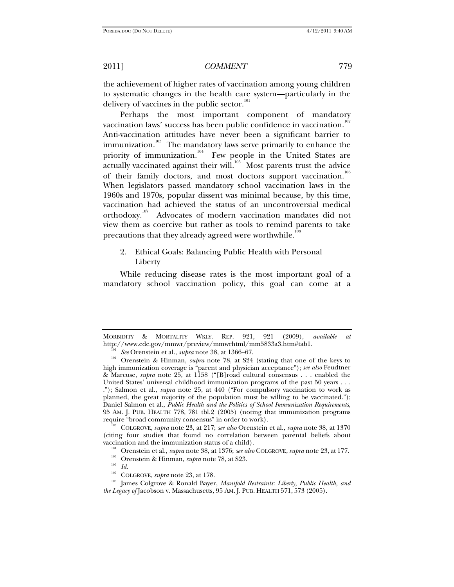the achievement of higher rates of vaccination among young children to systematic changes in the health care system—particularly in the delivery of vaccines in the public sector.<sup>101</sup>

Perhaps the most important component of mandatory vaccination laws' success has been public confidence in vaccination. $^{102}$ Anti-vaccination attitudes have never been a significant barrier to immunization.<sup>103</sup> The mandatory laws serve primarily to enhance the priority of immunization.<sup>104</sup> Few people in the United States are actually vaccinated against their will.<sup>105</sup> Most parents trust the advice of their family doctors, and most doctors support vaccination.<sup>106</sup> When legislators passed mandatory school vaccination laws in the 1960s and 1970s, popular dissent was minimal because, by this time, vaccination had achieved the status of an uncontroversial medical orthodoxy.<sup>107</sup> Advocates of modern vaccination mandates did not view them as coercive but rather as tools to remind parents to take precautions that they already agreed were worthwhile.<sup>11</sup>

# 2. Ethical Goals: Balancing Public Health with Personal Liberty

While reducing disease rates is the most important goal of a mandatory school vaccination policy, this goal can come at a

require "broad community consensus" in order to work). 103 COLGROVE, *supra* note 23, at 217; *see also* Orenstein et al., *supra* note 38, at 1370 (citing four studies that found no correlation between parental beliefs about

MORBIDITY & MORTALITY WKLY. REP. 921, 921 (2009), *available at*

http://www.cdc.gov/mmwr/preview/mmwrhtml/mm5833a3.htm#tab1.<br><sup>101</sup> *See* Orenstein et al., *supra* note 38, at 1366–67.<br><sup>102</sup> Orenstein & Hinman, *supra* note 78, at S24 (stating that one of the keys to high immunization coverage is "parent and physician acceptance"); *see also* Feudtner & Marcuse, *supra* note 25, at 1158 ("[B]road cultural consensus . . . enabled the United States' universal childhood immunization programs of the past 50 years . . . ."); Salmon et al., *supra* note 25, at 440 ("For compulsory vaccination to work as planned, the great majority of the population must be willing to be vaccinated."); Daniel Salmon et al., *Public Health and the Politics of School Immunization Requirements*, 95 AM. J. PUB. HEALTH 778, 781 tbl.2 (2005) (noting that immunization programs

vaccination and the immunization status of a child).<br>
<sup>104</sup> Orenstein et al., *supra* note 38, at 1376; *see also* COLGROVE, *supra* note 23, at 177.<br>
<sup>105</sup> Orenstein & Hinman, *supra* note 78, at S23.<br>
<sup>105</sup> COLGROVE, *s* 

<sup>&</sup>lt;sup>108</sup> James Colgrove & Ronald Bayer, *Manifold Restraints: Liberty, Public Health, and the Legacy of* Jacobson v. Massachusetts, 95 AM. J. PUB. HEALTH 571, 573 (2005).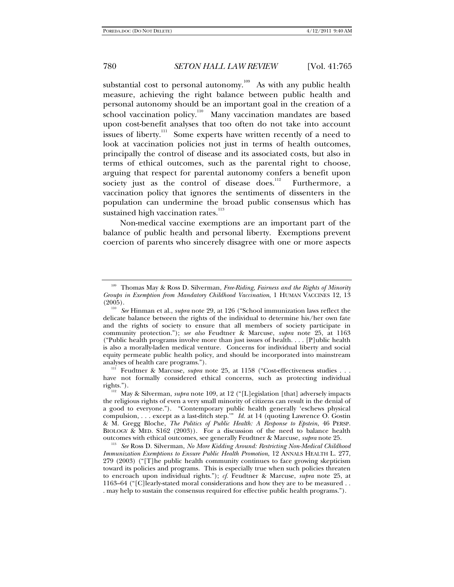substantial cost to personal autonomy.<sup>109</sup> As with any public health measure, achieving the right balance between public health and personal autonomy should be an important goal in the creation of a school vaccination policy.<sup>110</sup> Many vaccination mandates are based upon cost-benefit analyses that too often do not take into account issues of liberty.<sup>111</sup> Some experts have written recently of a need to look at vaccination policies not just in terms of health outcomes, principally the control of disease and its associated costs, but also in terms of ethical outcomes, such as the parental right to choose, arguing that respect for parental autonomy confers a benefit upon society just as the control of disease does.<sup>112</sup> Furthermore, a vaccination policy that ignores the sentiments of dissenters in the population can undermine the broad public consensus which has sustained high vaccination rates. $113$ 

Non-medical vaccine exemptions are an important part of the balance of public health and personal liberty. Exemptions prevent coercion of parents who sincerely disagree with one or more aspects

<sup>111</sup> Feudtner & Marcuse, *supra* note 25, at 1158 ("Cost-effectiveness studies . . have not formally considered ethical concerns, such as protecting individual

<sup>109</sup> Thomas May & Ross D. Silverman, *Free-Riding, Fairness and the Rights of Minority Groups in Exemption from Mandatory Childhood Vaccination*, 1 HUMAN VACCINES 12, 13

<sup>(2005). 110</sup> *See* Hinman et al., *supra* note 29, at 126 ("School immunization laws reflect the delicate balance between the rights of the individual to determine his/her own fate and the rights of society to ensure that all members of society participate in community protection."); *see also* Feudtner & Marcuse, *supra* note 25, at 1163 ("Public health programs involve more than just issues of health. . . . [P]ublic health is also a morally-laden medical venture. Concerns for individual liberty and social equity permeate public health policy, and should be incorporated into mainstream analyses of health care programs.").

rights."). 112 May & Silverman, *supra* note 109, at 12 ("[L]egislation [that] adversely impacts the religious rights of even a very small minority of citizens can result in the denial of a good to everyone."). "Contemporary public health generally 'eschews physical compulsion, . . . except as a last-ditch step.'" *Id.* at 14 (quoting Lawrence O. Gostin & M. Gregg Bloche, *The Politics of Public Health: A Response to Epstein*, 46 PERSP. BIOLOGY & MED. S162 (2003)). For a discussion of the need to balance health outcomes with ethical outcomes, see generally Feudtner & Marcuse, *supra* note 25.

<sup>&</sup>lt;sup>113</sup> See Ross D. Silverman, *No More Kidding Around: Restricting Non-Medical Childhood Immunization Exemptions to Ensure Public Health Promotion*, 12 ANNALS HEALTH L. 277, 279 (2003) ("[T]he public health community continues to face growing skepticism toward its policies and programs. This is especially true when such policies threaten to encroach upon individual rights."); *cf.* Feudtner & Marcuse, *supra* note 25, at 1163–64 ("[C]learly-stated moral considerations and how they are to be measured . . . may help to sustain the consensus required for effective public health programs.").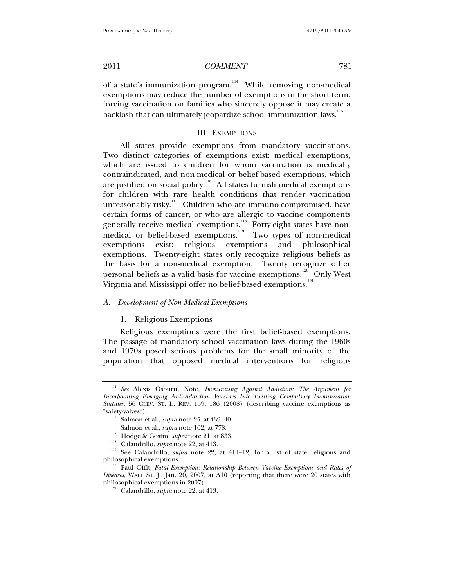of a state's immunization program.<sup>114</sup> While removing non-medical exemptions may reduce the number of exemptions in the short term, forcing vaccination on families who sincerely oppose it may create a backlash that can ultimately jeopardize school immunization laws.<sup>115</sup>

#### III. EXEMPTIONS

All states provide exemptions from mandatory vaccinations. Two distinct categories of exemptions exist: medical exemptions, which are issued to children for whom vaccination is medically contraindicated, and non-medical or belief-based exemptions, which are justified on social policy.<sup>116</sup> All states furnish medical exemptions for children with rare health conditions that render vaccination unreasonably risky.<sup>117</sup> Children who are immuno-compromised, have certain forms of cancer, or who are allergic to vaccine components generally receive medical exemptions.<sup>118</sup> Forty-eight states have nonmedical or belief-based exemptions.<sup>119</sup> Two types of non-medical exemptions exist: religious exemptions and philosophical exemptions. Twenty-eight states only recognize religious beliefs as the basis for a non-medical exemption. Twenty recognize other personal beliefs as a valid basis for vaccine exemptions.<sup>120</sup> Only West Virginia and Mississippi offer no belief-based exemptions.<sup>121</sup>

#### *A. Development of Non-Medical Exemptions*

#### 1. Religious Exemptions

Religious exemptions were the first belief-based exemptions. The passage of mandatory school vaccination laws during the 1960s and 1970s posed serious problems for the small minority of the population that opposed medical interventions for religious

<sup>114</sup> *See* Alexis Osburn, Note, *Immunizing Against Addiction: The Argument for Incorporating Emerging Anti-Addiction Vaccines Into Existing Compulsory Immunization Statutes*, 56 CLEV. ST. L. REV. 159, 186 (2008) (describing vaccine exemptions as

<sup>&</sup>lt;sup>115</sup> Salmon et al., *supra* note 25, at 439–40.<br>
<sup>116</sup> Salmon et al., *supra* note 102, at 778.<br>
<sup>117</sup> Hodge & Gostin, *supra* note 21, at 833.<br>
<sup>118</sup> Calandrillo, *supra* note 22, at 413.<br>
<sup>119</sup> See Calandrillo, *supra* 

<sup>&</sup>lt;sup>120</sup> Paul Offit, *Fatal Exemption: Relationship Between Vaccine Exemptions and Rates of Diseases*, WALL ST. J., Jan. 20, 2007, at A10 (reporting that there were 20 states with philosophical exemptions in 2007).<br><sup>121</sup> Calandrillo, *supra* note 22, at 413.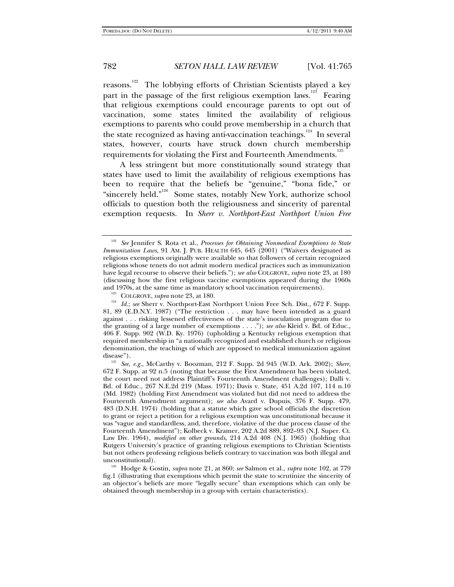reasons.<sup>122</sup> The lobbying efforts of Christian Scientists played a key part in the passage of the first religious exemption laws.<sup>123</sup> Fearing that religious exemptions could encourage parents to opt out of vaccination, some states limited the availability of religious exemptions to parents who could prove membership in a church that the state recognized as having anti-vaccination teachings.<sup>124</sup> In several states, however, courts have struck down church membership requirements for violating the First and Fourteenth Amendments.<sup>125</sup>

A less stringent but more constitutionally sound strategy that states have used to limit the availability of religious exemptions has been to require that the beliefs be "genuine," "bona fide," or "sincerely held."<sup>126</sup> Some states, notably New York, authorize school officials to question both the religiousness and sincerity of parental exemption requests. In *Sherr v. Northport-East Northport Union Free* 

<sup>&</sup>lt;sup>122</sup> See Jennifer S. Rota et al., *Processes for Obtaining Nonmedical Exemptions to State Immunization Laws*, 91 AM. J. PUB. HEALTH 645, 645 (2001) ("Waivers designated as religious exemptions originally were available so that followers of certain recognized religions whose tenets do not admit modern medical practices such as immunization have legal recourse to observe their beliefs."); *see also* COLGROVE, *supra* note 23, at 180 (discussing how the first religious vaccine exemptions appeared during the 1960s

<sup>&</sup>lt;sup>123</sup> COLGROVE, *supra* note 23, at 180. 124 *Id.*; *see* Sherr v. Northport-East Northport Union Free Sch. Dist., 672 F. Supp. 81, 89 (E.D.N.Y. 1987) ("The restriction . . . may have been intended as a guard against . . . risking lessened effectiveness of the state's inoculation program due to the granting of a large number of exemptions . . . ."); *see also* Kleid v. Bd. of Educ., 406 F. Supp. 902 (W.D. Ky. 1976) (upholding a Kentucky religious exemption that required membership in "a nationally recognized and established church or religious denomination, the teachings of which are opposed to medical immunization against

disease"). 125 *See, e.g.*, McCarthy v. Boozman, 212 F. Supp. 2d 945 (W.D. Ark. 2002); *Sherr*, 672 F. Supp. at 92 n.5 (noting that because the First Amendment has been violated, the court need not address Plaintiff's Fourteenth Amendment challenges); Dalli v. Bd. of Educ., 267 N.E.2d 219 (Mass. 1971); Davis v. State, 451 A.2d 107, 114 n.10 (Md. 1982) (holding First Amendment was violated but did not need to address the Fourteenth Amendment argument); *see also* Avard v. Dupuis, 376 F. Supp. 479, 483 (D.N.H. 1974) (holding that a statute which gave school officials the discretion to grant or reject a petition for a religious exemption was unconstitutional because it was "vague and standardless, and, therefore, violative of the due process clause of the Fourteenth Amendment"); Kolbeck v*.* Kramer, 202 A.2d 889, 892–93 (N.J. Super. Ct. Law Div. 1964), *modified on other grounds*, 214 A.2d 408 (N.J. 1965) (holding that Rutgers University's practice of granting religious exemptions to Christian Scientists but not others professing religious beliefs contrary to vaccination was both illegal and

<sup>&</sup>lt;sup>126</sup> Hodge & Gostin, *supra* note 21, at 860; *see* Salmon et al., *supra* note 102, at 779 fig.1 (illustrating that exemptions which permit the state to scrutinize the sincerity of an objector's beliefs are more "legally secure" than exemptions which can only be obtained through membership in a group with certain characteristics).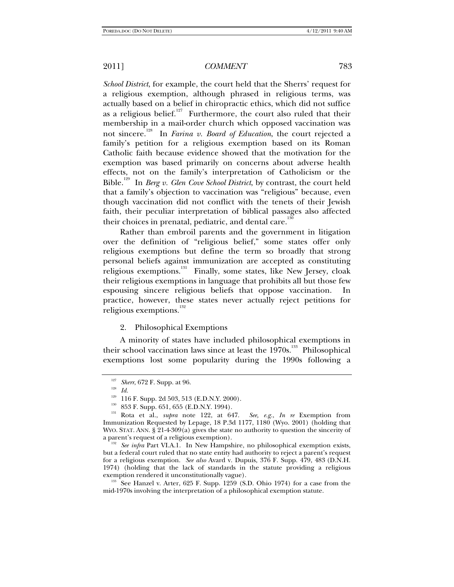*School District*, for example, the court held that the Sherrs' request for a religious exemption, although phrased in religious terms, was actually based on a belief in chiropractic ethics, which did not suffice as a religious belief.<sup>127</sup> Furthermore, the court also ruled that their membership in a mail-order church which opposed vaccination was not sincere.128 In *Farina v. Board of Education*, the court rejected a family's petition for a religious exemption based on its Roman Catholic faith because evidence showed that the motivation for the exemption was based primarily on concerns about adverse health effects, not on the family's interpretation of Catholicism or the Bible.129 In *Berg v. Glen Cove School District*, by contrast, the court held that a family's objection to vaccination was "religious" because, even though vaccination did not conflict with the tenets of their Jewish faith, their peculiar interpretation of biblical passages also affected their choices in prenatal, pediatric, and dental care.<sup>13</sup>

Rather than embroil parents and the government in litigation over the definition of "religious belief," some states offer only religious exemptions but define the term so broadly that strong personal beliefs against immunization are accepted as constituting religious exemptions.<sup>131</sup> Finally, some states, like New Jersey, cloak their religious exemptions in language that prohibits all but those few espousing sincere religious beliefs that oppose vaccination. In practice, however, these states never actually reject petitions for religious exemptions.<sup>132</sup>

## 2. Philosophical Exemptions

A minority of states have included philosophical exemptions in their school vaccination laws since at least the  $1970s$ .<sup>133</sup> Philosophical exemptions lost some popularity during the 1990s following a

<sup>&</sup>lt;sup>127</sup> *Sherr*, 672 F. Supp. at 96.<br><sup>129</sup> *Id.* 129 116 F. Supp. 2d 503, 513 (E.D.N.Y. 2000).

<sup>&</sup>lt;sup>130</sup> 853 F. Supp. 651, 655 (E.D.N.Y. 1994).<br><sup>131</sup> Rota et al., *supra* note 122, at 647. *See, e.g., In re* Exemption from Immunization Requested by Lepage, 18 P.3d 1177, 1180 (Wyo. 2001) (holding that WYO. STAT. ANN.  $\S 21-4-309(a)$  gives the state no authority to question the sincerity of a parent's request of a religious exemption). 132 *See infra* Part VI.A.1. In New Hampshire, no philosophical exemption exists,

but a federal court ruled that no state entity had authority to reject a parent's request for a religious exemption. *See also* Avard v. Dupuis, 376 F. Supp. 479, 483 (D.N.H. 1974) (holding that the lack of standards in the statute providing a religious exemption rendered it unconstitutionally vague).<br><sup>133</sup> See Hanzel v. Arter, 625 F. Supp. 1259 (S.D. Ohio 1974) for a case from the

mid-1970s involving the interpretation of a philosophical exemption statute.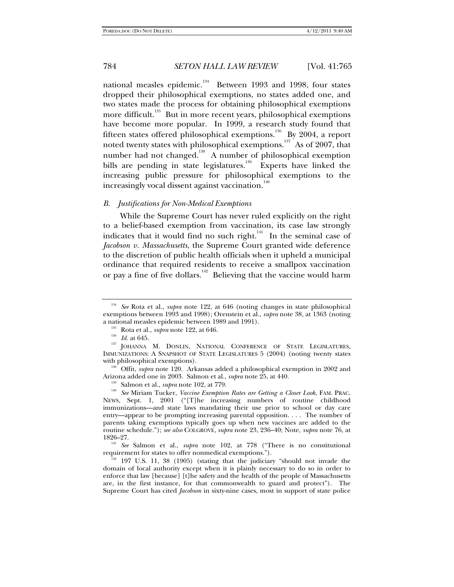national measles epidemic.<sup>134</sup> Between 1993 and 1998, four states dropped their philosophical exemptions, no states added one, and two states made the process for obtaining philosophical exemptions more difficult.<sup>135</sup> But in more recent years, philosophical exemptions have become more popular. In 1999, a research study found that fifteen states offered philosophical exemptions.<sup>136</sup> By 2004, a report noted twenty states with philosophical exemptions.<sup>137</sup> As of 2007, that number had not changed.<sup>138</sup> A number of philosophical exemption bills are pending in state legislatures.<sup>139</sup> Experts have linked the increasing public pressure for philosophical exemptions to the increasingly vocal dissent against vaccination.<sup>140</sup>

#### *B. Justifications for Non-Medical Exemptions*

While the Supreme Court has never ruled explicitly on the right to a belief-based exemption from vaccination, its case law strongly indicates that it would find no such right.<sup>141</sup> In the seminal case of *Jacobson v. Massachusetts*, the Supreme Court granted wide deference to the discretion of public health officials when it upheld a municipal ordinance that required residents to receive a smallpox vaccination or pay a fine of five dollars.<sup>142</sup> Believing that the vaccine would harm

<sup>134</sup> *See* Rota et al., *supra* note 122, at 646 (noting changes in state philosophical exemptions between 1993 and 1998); Orenstein et al., *supra* note 38, at 1363 (noting

a national measles epidemic between 1989 and 1991).<br><sup>135</sup> Rota et al., *supra* note 122, at 646.<br><sup>136</sup> *Id.* at 645. **137** JOHANNA M. DONLIN, NATIONAL CONFERENCE OF STATE LEGISLATURES, IMMUNIZATIONS: A SNAPSHOT OF STATE LEGISLATURES 5 (2004) (noting twenty states with philosophical exemptions).

<sup>&</sup>lt;sup>138</sup> Offit, *supra* note 120. Arkansas added a philosophical exemption in 2002 and

Arizona added one in 2003. Salmon et al., *supra* note 25, at 440.<br><sup>139</sup> Salmon et al., *supra* note 102, at 779.<br><sup>140</sup> *See* Miriam Tucker, *Vaccine Exemption Rates are Getting a Closer Look*, FAM. PRAC. NEWS, Sept. 1, 2001 ("[T]he increasing numbers of routine childhood immunizations—and state laws mandating their use prior to school or day care entry—appear to be prompting increasing parental opposition. . . . The number of parents taking exemptions typically goes up when new vaccines are added to the routine schedule."); *see also* COLGROVE, *supra* note 23, 236–40; Note, *supra* note 76, at

<sup>1826–27. 141</sup> *See* Salmon et al., *supra* note 102, at 778 ("There is no constitutional requirement for states to offer nonmedical exemptions.").<br><sup>142</sup> 197 U.S. 11, 38 (1905) (stating that the judiciary "should not invade the

domain of local authority except when it is plainly necessary to do so in order to enforce that law [because] [t]he safety and the health of the people of Massachusetts are, in the first instance, for that commonwealth to guard and protect"). The Supreme Court has cited *Jacobson* in sixty-nine cases, most in support of state police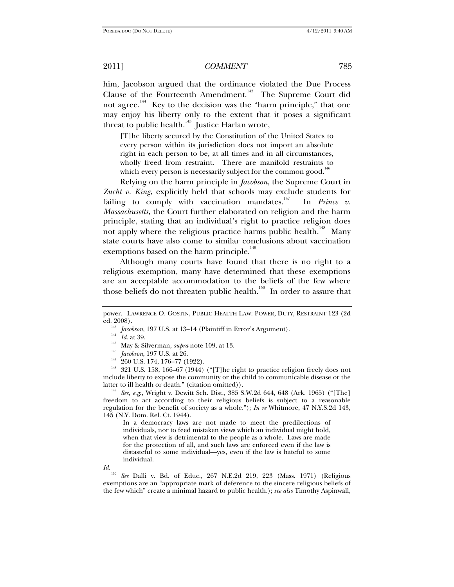him, Jacobson argued that the ordinance violated the Due Process Clause of the Fourteenth Amendment.<sup>143</sup> The Supreme Court did not agree.<sup>144</sup> Key to the decision was the "harm principle," that one may enjoy his liberty only to the extent that it poses a significant threat to public health.<sup>145</sup> Justice Harlan wrote,

[T]he liberty secured by the Constitution of the United States to every person within its jurisdiction does not import an absolute right in each person to be, at all times and in all circumstances, wholly freed from restraint. There are manifold restraints to which every person is necessarily subject for the common good.<sup>1</sup>

Relying on the harm principle in *Jacobson*, the Supreme Court in *Zucht v. King*, explicitly held that schools may exclude students for failing to comply with vaccination mandates.<sup>147</sup> In *Prince v*. *Massachusetts*, the Court further elaborated on religion and the harm principle, stating that an individual's right to practice religion does not apply where the religious practice harms public health.<sup>148</sup> Many state courts have also come to similar conclusions about vaccination exemptions based on the harm principle.<sup>149</sup>

Although many courts have found that there is no right to a religious exemption, many have determined that these exemptions are an acceptable accommodation to the beliefs of the few where those beliefs do not threaten public health.<sup>150</sup> In order to assure that

freedom to act according to their religious beliefs is subject to a reasonable regulation for the benefit of society as a whole."); *In re* Whitmore, 47 N.Y.S.2d 143, 145 (N.Y. Dom. Rel. Ct. 1944).

In a democracy laws are not made to meet the predilections of individuals, nor to feed mistaken views which an individual might hold, when that view is detrimental to the people as a whole. Laws are made for the protection of all, and such laws are enforced even if the law is distasteful to some individual—yes, even if the law is hateful to some individual.

*Id.*

See Dalli v. Bd. of Educ., 267 N.E.2d 219, 223 (Mass. 1971) (Religious exemptions are an "appropriate mark of deference to the sincere religious beliefs of the few which" create a minimal hazard to public health.); *see also* Timothy Aspinwall,

power. LAWRENCE O. GOSTIN, PUBLIC HEALTH LAW: POWER, DUTY, RESTRAINT 123 (2d

<sup>&</sup>lt;sup>143</sup> *Jacobson*, 197 U.S. at 13–14 (Plaintiff in Error's Argument).<br>
<sup>144</sup> *Id.* at 39.<br>
<sup>145</sup> May & Silverman, *supra* note 109, at 13.<br>
<sup>146</sup> *Jacobson*, 197 U.S. at 26.<br>
<sup>147</sup> 260 U.S. 174, 176–77 (1922).<br>
<sup>148</sup> 321 U include liberty to expose the community or the child to communicable disease or the latter to ill health or death." (citation omitted)). 149 *See, e.g*., Wright v. Dewitt Sch. Dist., 385 S.W.2d 644, 648 (Ark. 1965) ("[The]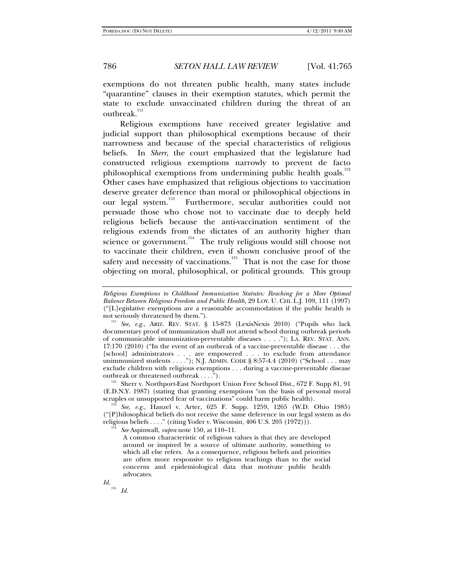exemptions do not threaten public health, many states include "quarantine" clauses in their exemption statutes, which permit the state to exclude unvaccinated children during the threat of an outbreak.<sup>151</sup>

Religious exemptions have received greater legislative and judicial support than philosophical exemptions because of their narrowness and because of the special characteristics of religious beliefs. In *Sherr*, the court emphasized that the legislature had constructed religious exemptions narrowly to prevent de facto philosophical exemptions from undermining public health goals.<sup>152</sup> Other cases have emphasized that religious objections to vaccination deserve greater deference than moral or philosophical objections in our legal system.<sup>153</sup> Furthermore, secular authorities could not persuade those who chose not to vaccinate due to deeply held religious beliefs because the anti-vaccination sentiment of the religious extends from the dictates of an authority higher than science or government. $154$  The truly religious would still choose not to vaccinate their children, even if shown conclusive proof of the safety and necessity of vaccinations.<sup>155</sup> That is not the case for those objecting on moral, philosophical, or political grounds. This group

<sup>152</sup> Sherr v. Northport-East Northport Union Free School Dist., 672 F. Supp 81, 91 (E.D.N.Y. 1987) (stating that granting exemptions "on the basis of personal moral

<sup>153</sup> See, *e.g.*, Hanzel v. Arter, 625 F. Supp. 1259, 1265 (W.D. Ohio 1985) ("[P]hilosophical beliefs do not receive the same deference in our legal system as do religious beliefs . . . ." (citing Yoder v. Wisconsin, 406 U.S. 205 (1972))). 154 *See* Aspinwall, *supra* note 150, at 110–11.

A common characteristic of religious values is that they are developed around or inspired by a source of ultimate authority, something to which all else refers. As a consequence, religious beliefs and priorities are often more responsive to religious teachings than to the social concerns and epidemiological data that motivate public health advocates.

*Id.* <sup>155</sup> *Id.* 

*Religious Exemptions to Childhood Immunization Statutes: Reaching for a More Optimal Balance Between Religious Freedom and Public Health*, 29 LOY. U. CHI. L.J. 109, 111 (1997) ("[L]egislative exemptions are a reasonable accommodation if the public health is

<sup>&</sup>lt;sup>151</sup> See, e.g., ARIZ. REV. STAT. § 15-873 (LexisNexis 2010) ("Pupils who lack documentary proof of immunization shall not attend school during outbreak periods of communicable immunization-preventable diseases . . . ."); LA. REV. STAT. ANN. 17:170 (2010) ("In the event of an outbreak of a vaccine-preventable disease . . . the [school] administrators . . . are empowered . . . to exclude from attendance unimmunized students . . . ."); N.J. ADMIN. CODE § 8:57-4.4 (2010) ("School . . . may exclude children with religious exemptions . . . during a vaccine-preventable disease outbreak or threatened outbreak . . . .").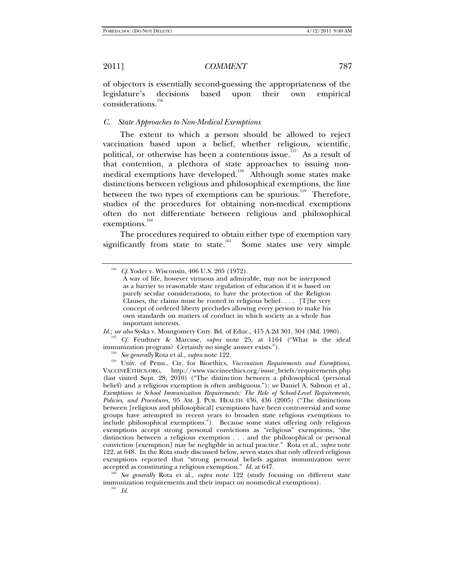of objectors is essentially second-guessing the appropriateness of the legislature's decisions based upon their own empirical considerations.<sup>156</sup>

## *C. State Approaches to Non-Medical Exemptions*

The extent to which a person should be allowed to reject vaccination based upon a belief, whether religious, scientific, political, or otherwise has been a contentious issue.<sup>157</sup> As a result of that contention, a plethora of state approaches to issuing nonmedical exemptions have developed.<sup>158</sup> Although some states make distinctions between religious and philosophical exemptions, the line between the two types of exemptions can be spurious.<sup>159</sup> Therefore, studies of the procedures for obtaining non-medical exemptions often do not differentiate between religious and philosophical exemptions.<sup>160</sup>

The procedures required to obtain either type of exemption vary significantly from state to state.<sup>161</sup> Some states use very simple

*Id.*; *see also* Syska v. Montgomery Cnty. Bd. of Educ., 415 A.2d 301, 304 (Md. 1980). <sup>157</sup> *Cf.* Feudtner & Marcuse, *supra* note 25, at 1164 ("What is the ideal immunization program? Certainly no single answer exists."

<sup>158</sup> See generally Rota et al., *supra* note 122.<br><sup>159</sup> Univ. of Penn., Ctr. for Bioethics, *Vaccination Requirements and Exemptions*, VACCINEETHICS.ORG, http://www.vaccineethics.org/issue\_briefs/requirements.php (last visited Sept. 28, 2010) ("The distinction between a philosophical (personal belief) and a religious exemption is often ambiguous."); *see* Daniel A. Salmon et al., *Exemptions to School Immunization Requirements: The Role of School-Level Requirements, Policies, and Procedures,* 95 AM. J. PUB. HEALTH 436, 436 (2005) ("The distinctions between [religious and philosophical] exemptions have been controversial and some groups have attempted in recent years to broaden state religious exemptions to include philosophical exemptions."). Because some states offering only religious exemptions accept strong personal convictions as "religious" exemptions, "the distinction between a religious exemption . . . and the philosophical or personal conviction [exemption] may be negligible in actual practice." Rota et al., *supra* note 122, at 648. In the Rota study discussed below, seven states that only offered religious exemptions reported that "strong personal beliefs against immunization were

accepted as constituting a religious exemption." *Id.* at 647.<br><sup>160</sup> See generally Rota et al., *supra* note 122 (study focusing on different state immunization requirements and their impact on nonmedical exemptions). 161 *Id.*

*Cf.* Yoder v. Wisconsin, 406 U.S. 205 (1972).

A way of life, however virtuous and admirable, may not be interposed as a barrier to reasonable state regulation of education if it is based on purely secular considerations; to have the protection of the Religion Clauses, the claims must be rooted in religious belief. . . . [T]he very concept of ordered liberty precludes allowing every person to make his own standards on matters of conduct in which society as a whole has important interests.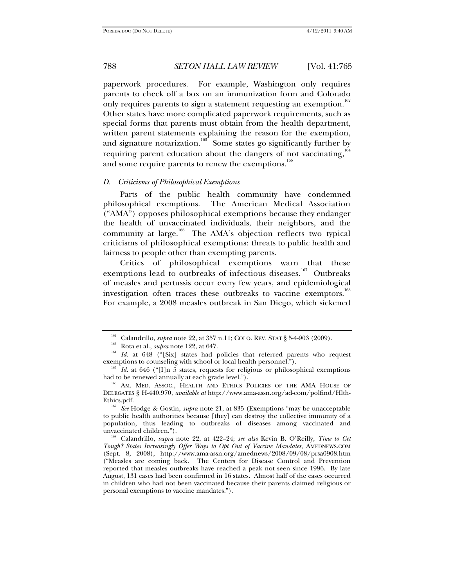paperwork procedures. For example, Washington only requires parents to check off a box on an immunization form and Colorado only requires parents to sign a statement requesting an exemption.<sup>162</sup> Other states have more complicated paperwork requirements, such as special forms that parents must obtain from the health department, written parent statements explaining the reason for the exemption, and signature notarization.<sup>163</sup> Some states go significantly further by requiring parent education about the dangers of not vaccinating, $164$ and some require parents to renew the exemptions.<sup>165</sup>

#### *D. Criticisms of Philosophical Exemptions*

Parts of the public health community have condemned philosophical exemptions. The American Medical Association ("AMA") opposes philosophical exemptions because they endanger the health of unvaccinated individuals, their neighbors, and the community at large.<sup>166</sup> The AMA's objection reflects two typical criticisms of philosophical exemptions: threats to public health and fairness to people other than exempting parents.

Critics of philosophical exemptions warn that these exemptions lead to outbreaks of infectious diseases.<sup>167</sup> Outbreaks of measles and pertussis occur every few years, and epidemiological investigation often traces these outbreaks to vaccine exemptors.<sup>168</sup> For example, a 2008 measles outbreak in San Diego, which sickened

<sup>&</sup>lt;sup>162</sup> Calandrillo, *supra* note 22, at 357 n.11; COLO. REV. STAT § 5-4-903 (2009).<br><sup>164</sup> Rota et al., *supra* note 122, at 647.<br><sup>164</sup> Id. at 648 ("[Six] states had policies that referred parents who request exemptions to c

<sup>&</sup>lt;sup>165</sup> Id. at 646 ("[I]n 5 states, requests for religious or philosophical exemptions had to be renewed annually at each grade level.").<br><sup>166</sup> AM. MED. ASSOC., HEALTH AND ETHICS POLICIES OF THE AMA HOUSE OF

DELEGATES § H-440.970, *available at* http://www.ama-assn.org/ad-com/polfind/Hlth-Ethics.pdf. 167 *See* Hodge & Gostin, *supra* note 21, at 835 (Exemptions "may be unacceptable

to public health authorities because [they] can destroy the collective immunity of a population, thus leading to outbreaks of diseases among vaccinated and unvaccinated children."). 168 Calandrillo, *supra* note 22, at 422–24; *see also* Kevin B. O'Reilly*, Time to Get* 

*Tough? States Increasingly Offer Ways to Opt Out of Vaccine Mandates*, AMEDNEWS.COM (Sept. 8, 2008), http://www.ama-assn.org/amednews/2008/09/08/prsa0908.htm ("Measles are coming back. The Centers for Disease Control and Prevention reported that measles outbreaks have reached a peak not seen since 1996. By late August, 131 cases had been confirmed in 16 states. Almost half of the cases occurred in children who had not been vaccinated because their parents claimed religious or personal exemptions to vaccine mandates.").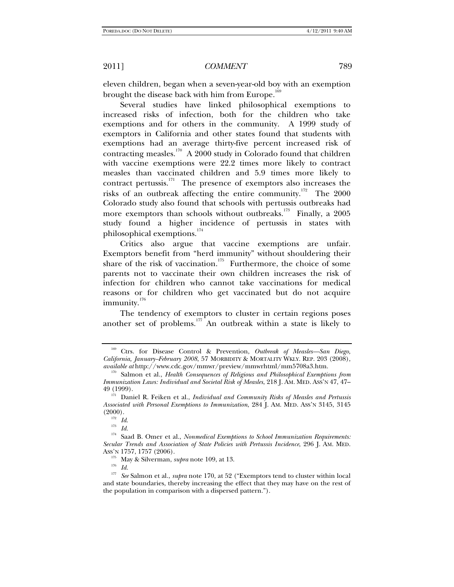eleven children, began when a seven-year-old boy with an exemption brought the disease back with him from Europe.<sup>16</sup>

Several studies have linked philosophical exemptions to increased risks of infection, both for the children who take exemptions and for others in the community. A 1999 study of exemptors in California and other states found that students with exemptions had an average thirty-five percent increased risk of contracting measles.<sup>170</sup> A 2000 study in Colorado found that children with vaccine exemptions were 22.2 times more likely to contract measles than vaccinated children and 5.9 times more likely to contract pertussis.<sup>171</sup> The presence of exemptors also increases the risks of an outbreak affecting the entire community.<sup>172</sup> The 2000 Colorado study also found that schools with pertussis outbreaks had more exemptors than schools without outbreaks.<sup>173</sup> Finally, a 2005 study found a higher incidence of pertussis in states with philosophical exemptions.<sup>174</sup>

Critics also argue that vaccine exemptions are unfair. Exemptors benefit from "herd immunity" without shouldering their share of the risk of vaccination.<sup>175</sup> Furthermore, the choice of some parents not to vaccinate their own children increases the risk of infection for children who cannot take vaccinations for medical reasons or for children who get vaccinated but do not acquire immunity.<sup>176</sup>

The tendency of exemptors to cluster in certain regions poses another set of problems. $177$  An outbreak within a state is likely to

<sup>169</sup> Ctrs. for Disease Control & Prevention, *Outbreak of Measles—San Diego, California, January–February 2008*, 57 MORBIDITY & MORTALITY WKLY. REP. 203 (2008), *available at* http://www.cdc.gov/mmwr/preview/mmwrhtml/mm5708a3.htm. 170 Salmon et al., *Health Consequences of Religious and Philosophical Exemptions from* 

*Immunization Laws: Individual and Societal Risk of Measles*, 218 J. AM. MED. ASS'N 47, 47– 49 (1999). 171 Daniel R. Feiken et al., *Individual and Community Risks of Measles and Pertussis* 

*Associated with Personal Exemptions to Immunization*, 284 J. AM. MED. ASS'N 3145, 3145  $(2000)$ .<br><sup>172</sup> *Id.*<br><sup>173</sup> *Id.* 

<sup>&</sup>lt;sup>174</sup> Saad B. Omer et al., *Nonmedical Exemptions to School Immunization Requirements: Secular Trends and Association of State Policies with Pertussis Incidence*, 296 J. AM. MED.

 $\frac{175}{176}$  May & Silverman, *supra* note 109, at 13.

<sup>177</sup> *See* Salmon et al., *supra* note 170, at 52 ("Exemptors tend to cluster within local and state boundaries, thereby increasing the effect that they may have on the rest of the population in comparison with a dispersed pattern.").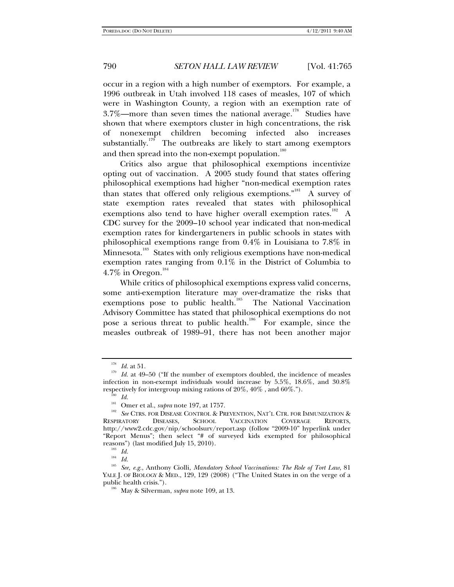occur in a region with a high number of exemptors. For example, a 1996 outbreak in Utah involved 118 cases of measles, 107 of which were in Washington County, a region with an exemption rate of 3.7%—more than seven times the national average.<sup>178</sup> Studies have shown that where exemptors cluster in high concentrations, the risk of nonexempt children becoming infected also increases substantially.<sup>179</sup> The outbreaks are likely to start among exemptors and then spread into the non-exempt population.<sup>180</sup>

Critics also argue that philosophical exemptions incentivize opting out of vaccination. A 2005 study found that states offering philosophical exemptions had higher "non-medical exemption rates than states that offered only religious exemptions. $n<sup>181</sup>$  A survey of state exemption rates revealed that states with philosophical exemptions also tend to have higher overall exemption rates.<sup>182</sup> A CDC survey for the 2009–10 school year indicated that non-medical exemption rates for kindergarteners in public schools in states with philosophical exemptions range from 0.4% in Louisiana to 7.8% in Minnesota.<sup>183</sup> States with only religious exemptions have non-medical exemption rates ranging from 0.1% in the District of Columbia to  $4.7\%$  in Oregon.

While critics of philosophical exemptions express valid concerns, some anti-exemption literature may over-dramatize the risks that exemptions pose to public health.<sup>185</sup> The National Vaccination Advisory Committee has stated that philosophical exemptions do not pose a serious threat to public health.<sup>186</sup> For example, since the measles outbreak of 1989–91, there has not been another major

<sup>&</sup>lt;sup>178</sup> *Id.* at 51.<br><sup>179</sup> *Id.* at 49–50 ("If the number of exemptors doubled, the incidence of measles infection in non-exempt individuals would increase by 5.5%, 18.6%, and 30.8% respectively for intergroup mixing rations of 20%, 40% , and 60%.").<br><sup>180</sup> *Id.* Omer et al., *supra* note 197, at 1757.

<sup>&</sup>lt;sup>182</sup> See CTRS. FOR DISEASE CONTROL & PREVENTION, NAT'L CTR. FOR IMMUNIZATION & RESPIRATORY DISEASES, SCHOOL VACCINATION COVERAGE REPORTS, VACCINATION COVERAGE REPORTS, http://www2.cdc.gov/nip/schoolsurv/report.asp (follow "2009-10" hyperlink under "Report Menus"; then select "# of surveyed kids exempted for philosophical reasons") (last modified July 15, 2010).

 $^{183} \;$   $Id.$ 

<sup>184</sup> *Id.*

<sup>185</sup> *See, e.g.*, Anthony Ciolli, *Mandatory School Vaccinations: The Role of Tort Law*, 81 YALE J. OF BIOLOGY & MED., 129, 129 (2008) ("The United States in on the verge of a public health crisis."). 186 May & Silverman, *supra* note 109, at 13.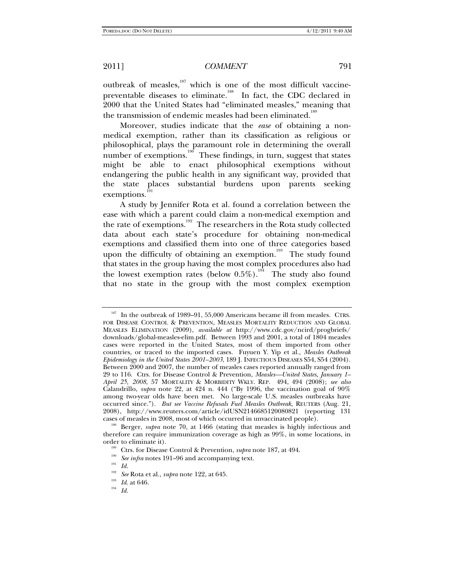outbreak of measles,<sup>187</sup> which is one of the most difficult vaccinepreventable diseases to eliminate.<sup>188</sup> In fact, the CDC declared in 2000 that the United States had "eliminated measles," meaning that the transmission of endemic measles had been eliminated.<sup>189</sup>

Moreover, studies indicate that the *ease* of obtaining a nonmedical exemption, rather than its classification as religious or philosophical, plays the paramount role in determining the overall number of exemptions.<sup>190</sup> These findings, in turn, suggest that states might be able to enact philosophical exemptions without endangering the public health in any significant way, provided that the state places substantial burdens upon parents seeking exemptions.<sup>19</sup>

A study by Jennifer Rota et al. found a correlation between the ease with which a parent could claim a non-medical exemption and the rate of exemptions.<sup>192</sup> The researchers in the Rota study collected data about each state's procedure for obtaining non-medical exemptions and classified them into one of three categories based upon the difficulty of obtaining an exemption.<sup>193</sup> The study found that states in the group having the most complex procedures also had the lowest exemption rates (below  $0.5\%$ ).<sup>194</sup> The study also found that no state in the group with the most complex exemption

<sup>&</sup>lt;sup>187</sup> In the outbreak of 1989–91, 55,000 Americans became ill from measles. CTRS. FOR DISEASE CONTROL & PREVENTION, MEASLES MORTALITY REDUCTION AND GLOBAL MEASLES ELIMINATION (2009), *available at* http://www.cdc.gov/ncird/progbriefs/ downloads/global-measles-elim.pdf. Between 1993 and 2001, a total of 1804 measles cases were reported in the United States, most of them imported from other countries, or traced to the imported cases. Fuyuen Y. Yip et al., *Measles Outbreak Epidemiology in the United States 2001–2003*, 189 J. INFECTIOUS DISEASES S54, S54 (2004). Between 2000 and 2007, the number of measles cases reported annually ranged from 29 to 116. Ctrs. for Disease Control & Prevention, *Measles—United States, January 1– April 25, 2008*, 57 MORTALITY & MORBIDITY WKLY. REP. 494, 494 (2008); *see also*  Calandrillo, *supra* note 22, at  $424$  n.  $444$  ("By 1996, the vaccination goal of  $90\%$ among two-year olds have been met. No large-scale U.S. measles outbreaks have occurred since."). *But see Vaccine Refusals Fuel Measles Outbreak,* REUTERS (Aug. 21, 2008), http://www.reuters.com/article/idUSN2146685120080821 (reporting 131 cases of measles in 2008, most of which occurred in unvaccinated people).

<sup>&</sup>lt;sup>188</sup> Berger, *supra* note 70, at 1466 (stating that measles is highly infectious and therefore can require immunization coverage as high as 99%, in some locations, in order to eliminate it).<br><sup>189</sup> Ctrs. for Disease Control & Prevention, *supra* note 187, at 494.<br><sup>190</sup> *See infra* notes 191–96 and accompanying text.<br>*Id.* 

<sup>192</sup> *See* Rota et al., *supra* note 122, at 645. 193 *Id*. at 646. 194 *Id.*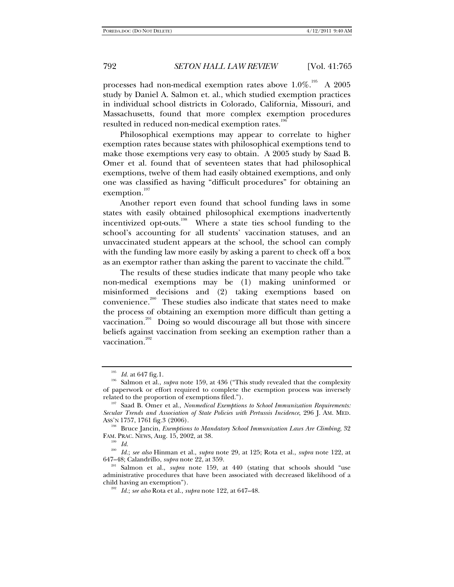processes had non-medical exemption rates above  $1.0\%$ .<sup>195</sup> A 2005 study by Daniel A. Salmon et. al., which studied exemption practices in individual school districts in Colorado, California, Missouri, and Massachusetts, found that more complex exemption procedures resulted in reduced non-medical exemption rates.<sup>19</sup>

Philosophical exemptions may appear to correlate to higher exemption rates because states with philosophical exemptions tend to make those exemptions very easy to obtain. A 2005 study by Saad B. Omer et al. found that of seventeen states that had philosophical exemptions, twelve of them had easily obtained exemptions, and only one was classified as having "difficult procedures" for obtaining an exemption.<sup>197</sup>

Another report even found that school funding laws in some states with easily obtained philosophical exemptions inadvertently incentivized opt-outs.198 Where a state ties school funding to the school's accounting for all students' vaccination statuses, and an unvaccinated student appears at the school, the school can comply with the funding law more easily by asking a parent to check off a box as an exemptor rather than asking the parent to vaccinate the child.<sup>199</sup>

The results of these studies indicate that many people who take non-medical exemptions may be (1) making uninformed or misinformed decisions and (2) taking exemptions based on convenience.<sup>200</sup> These studies also indicate that states need to make the process of obtaining an exemption more difficult than getting a vaccination.<sup>201</sup> Doing so would discourage all but those with sincere beliefs against vaccination from seeking an exemption rather than a vaccination.<sup>202</sup>

<sup>&</sup>lt;sup>195</sup> *Id.* at 647 fig.1.<br><sup>196</sup> Salmon et al., *supra* note 159, at 436 ("This study revealed that the complexity of paperwork or effort required to complete the exemption process was inversely related to the proportion of exemptions filed."). 197 Saad B. Omer et al., *Nonmedical Exemptions to School Immunization Requirements:* 

*Secular Trends and Association of State Policies with Pertussis Incidence*, 296 J. AM. MED.

<sup>&</sup>lt;sup>198</sup> Bruce Jancin, *Exemptions to Mandatory School Immunization Laws Are Climbing*, 32 FAM. PRAC. NEWS, Aug. 15, 2002, at 38. 199 *Id.* 

<sup>200</sup> *Id.*; *see also* Hinman et al., *supra* note 29, at 125; Rota et al., *supra* note 122, at

<sup>&</sup>lt;sup>201</sup> Salmon et al., *supra* note 159, at 440 (stating that schools should "use administrative procedures that have been associated with decreased likelihood of a child having an exemption"). 202 *Id.*; *see also* Rota et al., *supra* note 122, at 647–48.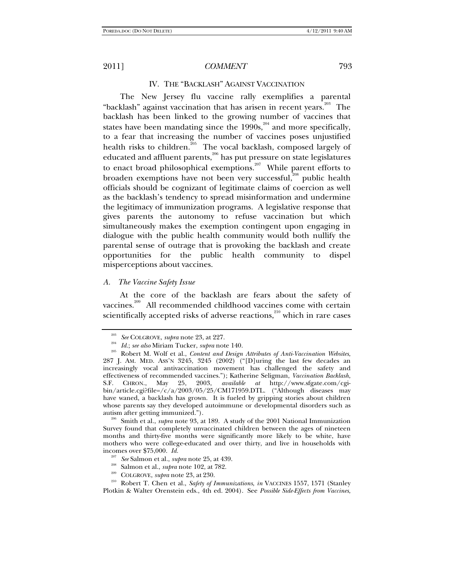#### IV. THE "BACKLASH" AGAINST VACCINATION

The New Jersey flu vaccine rally exemplifies a parental "backlash" against vaccination that has arisen in recent years.<sup>203</sup> The backlash has been linked to the growing number of vaccines that states have been mandating since the 1990s, $^{204}$  and more specifically, to a fear that increasing the number of vaccines poses unjustified health risks to children.<sup>205</sup> The vocal backlash, composed largely of educated and affluent parents,<sup>206</sup> has put pressure on state legislatures to enact broad philosophical exemptions.<sup>207</sup> While parent efforts to broaden exemptions have not been very successful,<sup>208</sup> public health officials should be cognizant of legitimate claims of coercion as well as the backlash's tendency to spread misinformation and undermine the legitimacy of immunization programs. A legislative response that gives parents the autonomy to refuse vaccination but which simultaneously makes the exemption contingent upon engaging in dialogue with the public health community would both nullify the parental sense of outrage that is provoking the backlash and create opportunities for the public health community to dispel misperceptions about vaccines.

#### *A. The Vaccine Safety Issue*

At the core of the backlash are fears about the safety of vaccines.<sup>209</sup> All recommended childhood vaccines come with certain scientifically accepted risks of adverse reactions, $210$  which in rare cases

Survey found that completely unvaccinated children between the ages of nineteen months and thirty-five months were significantly more likely to be white, have mothers who were college-educated and over thirty, and live in households with incomes over \$75,000. *Id.*

- 
- 

210 Robert T. Chen et al., *Safety of Immunizations*, *in* VACCINES 1557, 1571 (Stanley Plotkin & Walter Orenstein eds., 4th ed. 2004). See *Possible Side-Effects from Vaccines*,

<sup>203</sup> *See* COLGROVE, *supra* note 23, at 227. 204 *Id.*; *see also* Miriam Tucker, *supra* note 140. 205 Robert M. Wolf et al., *Content and Design Attributes of Anti-Vaccination Websites*, 287 J. AM. MED. ASS'N 3245, 3245 (2002) ("[D]uring the last few decades an increasingly vocal antivaccination movement has challenged the safety and effectiveness of recommended vaccines."); Katherine Seligman, *Vaccination Backlash*, S.F. CHRON., May 25, 2003, *available at* http://www.sfgate.com/cgibin/article.cgi?file=/c/a/2003/05/25/CM171959.DTL. ("Although diseases may have waned, a backlash has grown. It is fueled by gripping stories about children whose parents say they developed autoimmune or developmental disorders such as autism after getting immunized."). 206 Smith et al., *supra* note 93, at 189. A study of the 2001 National Immunization

<sup>207</sup> *See* Salmon et al., *supra* note 25, at 439. 208 Salmon et al., *supra* note 102, at 782. 209 COLGROVE, *supra* note 23, at 230.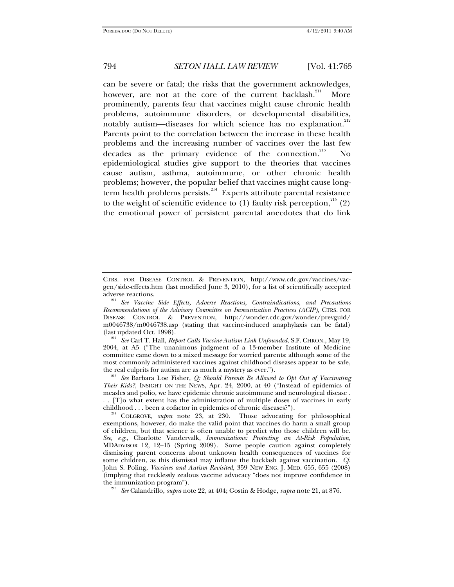can be severe or fatal; the risks that the government acknowledges, however, are not at the core of the current backlash.<sup>211</sup> More prominently, parents fear that vaccines might cause chronic health problems, autoimmune disorders, or developmental disabilities, notably autism—diseases for which science has no explanation.<sup>212</sup> Parents point to the correlation between the increase in these health problems and the increasing number of vaccines over the last few decades as the primary evidence of the connection. $^{213}$  No epidemiological studies give support to the theories that vaccines cause autism, asthma, autoimmune, or other chronic health problems; however, the popular belief that vaccines might cause longterm health problems persists.<sup>214</sup> Experts attribute parental resistance to the weight of scientific evidence to (1) faulty risk perception,  $^{215}$  (2) the emotional power of persistent parental anecdotes that do link

(last updated Oct. 1998). 212 *See* Carl T. Hall, *Report Calls Vaccine-Autism Link Unfounded*, S.F. CHRON., May 19, 2004, at A5 ("The unanimous judgment of a 13-member Institute of Medicine committee came down to a mixed message for worried parents: although some of the most commonly administered vaccines against childhood diseases appear to be safe, the real culprits for autism are as much a mystery as ever.").

<sup>213</sup> See Barbara Loe Fisher, *Q: Should Parents Be Allowed to Opt Out of Vaccinating Their Kids?*, INSIGHT ON THE NEWS, Apr. 24, 2000, at 40 ("Instead of epidemics of measles and polio, we have epidemic chronic autoimmune and neurological disease . . . [T]o what extent has the administration of multiple doses of vaccines in early childhood . . . been a cofactor in epidemics of chronic diseases?").

CTRS. FOR DISEASE CONTROL & PREVENTION, http://www.cdc.gov/vaccines/vacgen/side-effects.htm (last modified June 3, 2010), for a list of scientifically accepted

adverse reactions. 211 *See Vaccine Side Effects, Adverse Reactions, Contraindications, and Precautions Recommendations of the Advisory Committee on Immunization Practices (ACIP)*, CTRS. FOR DISEASE CONTROL & PREVENTION, http://wonder.cdc.gov/wonder/prevguid/ m0046738/m0046738.asp (stating that vaccine-induced anaphylaxis can be fatal)

<sup>&</sup>lt;sup>214</sup> COLGROVE, *supra* note 23, at 230. Those advocating for philosophical exemptions, however, do make the valid point that vaccines do harm a small group of children, but that science is often unable to predict who those children will be. *See, e.g.*, Charlotte Vandervalk, *Immunizations: Protecting an At-Risk Population*, MDADVISOR 12, 12–15 (Spring 2009). Some people caution against completely dismissing parent concerns about unknown health consequences of vaccines for some children, as this dismissal may inflame the backlash against vaccination. *Cf*. John S. Poling, *Vaccines and Autism Revisited*, 359 NEW ENG. J. MED. 655, 655 (2008) (implying that recklessly zealous vaccine advocacy "does not improve confidence in the immunization program"). 215 *See* Calandrillo, *supra* note 22, at 404; Gostin & Hodge, *supra* note 21, at 876.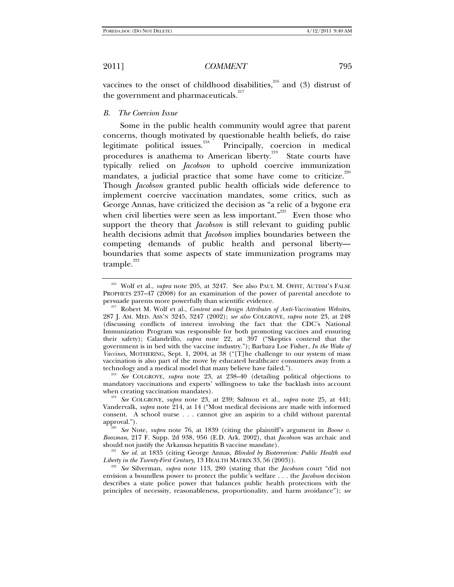vaccines to the onset of childhood disabilities, $216$  and (3) distrust of the government and pharmaceuticals. $217$ 

*B. The Coercion Issue* 

Some in the public health community would agree that parent concerns, though motivated by questionable health beliefs, do raise legitimate political issues.<sup>218</sup> Principally, coercion in medical procedures is anathema to American liberty.<sup>219</sup> State courts have typically relied on *Jacobson* to uphold coercive immunization mandates, a judicial practice that some have come to criticize. $^{220}$ Though *Jacobson* granted public health officials wide deference to implement coercive vaccination mandates, some critics, such as George Annas, have criticized the decision as "a relic of a bygone era when civil liberties were seen as less important."<sup>221</sup> Even those who support the theory that *Jacobson* is still relevant to guiding public health decisions admit that *Jacobson* implies boundaries between the competing demands of public health and personal liberty boundaries that some aspects of state immunization programs may trample. $222$ 

mandatory vaccinations and experts' willingness to take the backlash into account when creating vaccination mandates).

<sup>219</sup> See COLGROVE, *supra* note 23, at 239; Salmon et al., *supra* note 25, at 441; Vandervalk, *supra* note 214, at 14 ("Most medical decisions are made with informed consent. A school nurse . . . cannot give an aspirin to a child without parental approval.").<br><sup>220</sup> See Note, *supra* note 76, at 1839 (citing the plaintiff's argument in *Boone v*.

*Boozman*, 217 F. Supp. 2d 938, 956 (E.D. Ark. 2002), that *Jacobson* was archaic and

<sup>221</sup> See id. at 1835 (citing George Annas, *Blinded by Bioterrorism: Public Health and Liberty in the Twenty-First Century*, 13 HEALTH MATRIX 33, 56 (2003)).

<sup>222</sup> See Silverman, *supra* note 113, 280 (stating that the *Jacobson* court "did not envision a boundless power to protect the public's welfare . . . the *Jacobson* decision describes a state police power that balances public health protections with the principles of necessity, reasonableness, proportionality, and harm avoidance"); *see* 

<sup>216</sup> Wolf et al., *supra* note 205, at 3247. See also PAUL M. OFFIT, AUTISM'S FALSE PROPHETS  $237-47$  ( $2008$ ) for an examination of the power of parental anecdote to persuade parents more powerfully than scientific evidence.

<sup>&</sup>lt;sup>217</sup> Robert M. Wolf et al., *Content and Design Attributes of Anti-Vaccination Websites*, 287 J. AM. MED. ASS'N 3245, 3247 (2002); *see also* COLGROVE, *supra* note 23, at 248 (discussing conflicts of interest involving the fact that the CDC's National Immunization Program was responsible for both promoting vaccines and ensuring their safety); Calandrillo, *supra* note 22, at 397 ("Skeptics contend that the government is in bed with the vaccine industry."); Barbara Loe Fisher, *In the Wake of Vaccines*, MOTHERING, Sept. 1, 2004, at 38 ("[T]he challenge to our system of mass vaccination is also part of the move by educated healthcare consumers away from a technology and a medical model that many believe have failed."). 218 *See* COLGROVE, *supra* note 23, at 238–40 (detailing political objections to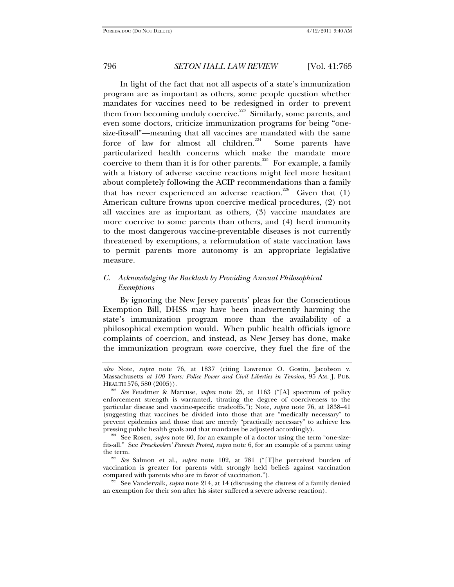In light of the fact that not all aspects of a state's immunization program are as important as others, some people question whether mandates for vaccines need to be redesigned in order to prevent them from becoming unduly coercive.<sup>223</sup> Similarly, some parents, and even some doctors, criticize immunization programs for being "onesize-fits-all"—meaning that all vaccines are mandated with the same force of law for almost all children.<sup>224</sup> Some parents have particularized health concerns which make the mandate more coercive to them than it is for other parents.<sup>225</sup> For example, a family with a history of adverse vaccine reactions might feel more hesitant about completely following the ACIP recommendations than a family that has never experienced an adverse reaction.<sup>226</sup> Given that  $(1)$ American culture frowns upon coercive medical procedures, (2) not all vaccines are as important as others, (3) vaccine mandates are more coercive to some parents than others, and (4) herd immunity to the most dangerous vaccine-preventable diseases is not currently threatened by exemptions, a reformulation of state vaccination laws to permit parents more autonomy is an appropriate legislative measure.

# *C. Acknowledging the Backlash by Providing Annual Philosophical Exemptions*

By ignoring the New Jersey parents' pleas for the Conscientious Exemption Bill, DHSS may have been inadvertently harming the state's immunization program more than the availability of a philosophical exemption would. When public health officials ignore complaints of coercion, and instead, as New Jersey has done, make the immunization program *more* coercive, they fuel the fire of the

<sup>225</sup> See Salmon et al., *supra* note 102, at 781 ("[T]he perceived burden of vaccination is greater for parents with strongly held beliefs against vaccination compared with parents who are in favor of vaccination."). 226 See Vandervalk, *supra* note 214, at 14 (discussing the distress of a family denied

an exemption for their son after his sister suffered a severe adverse reaction).

*also* Note, *supra* note 76, at 1837 (citing Lawrence O. Gostin, Jacobson v. Massachusetts *at 100 Years: Police Power and Civil Liberties in Tension*, 95 AM. J. PUB.

<sup>&</sup>lt;sup>3</sup> See Feudtner & Marcuse, *supra* note 25, at 1163 ("[A] spectrum of policy enforcement strength is warranted, titrating the degree of coerciveness to the particular disease and vaccine-specific tradeoffs."); Note, *supra* note 76, at 1838–41 (suggesting that vaccines be divided into those that are "medically necessary" to prevent epidemics and those that are merely "practically necessary" to achieve less<br>pressing public health goals and that mandates be adjusted accordingly).

<sup>&</sup>lt;sup>224</sup> See Rosen, *supra* note 60, for an example of a doctor using the term "one-sizefits-all." See *Preschoolers' Parents Protest*, *supra* note 6, for an example of a parent using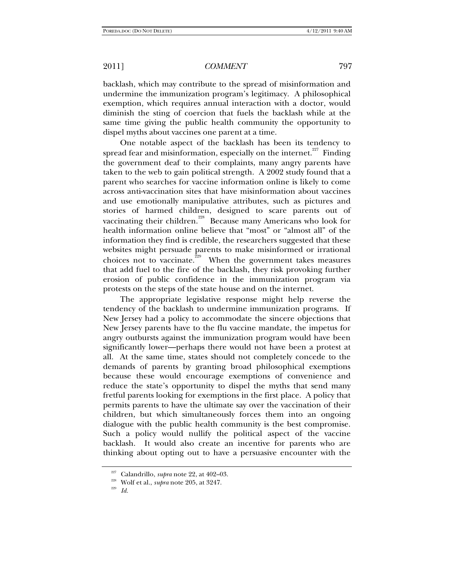backlash, which may contribute to the spread of misinformation and undermine the immunization program's legitimacy. A philosophical exemption, which requires annual interaction with a doctor, would diminish the sting of coercion that fuels the backlash while at the same time giving the public health community the opportunity to dispel myths about vaccines one parent at a time.

One notable aspect of the backlash has been its tendency to spread fear and misinformation, especially on the internet.<sup>227</sup> Finding the government deaf to their complaints, many angry parents have taken to the web to gain political strength. A 2002 study found that a parent who searches for vaccine information online is likely to come across anti-vaccination sites that have misinformation about vaccines and use emotionally manipulative attributes, such as pictures and stories of harmed children, designed to scare parents out of vaccinating their children.<sup>228</sup> Because many Americans who look for health information online believe that "most" or "almost all" of the information they find is credible, the researchers suggested that these websites might persuade parents to make misinformed or irrational choices not to vaccinate.<sup> $229$ </sup> When the government takes measures that add fuel to the fire of the backlash, they risk provoking further erosion of public confidence in the immunization program via protests on the steps of the state house and on the internet.

The appropriate legislative response might help reverse the tendency of the backlash to undermine immunization programs. If New Jersey had a policy to accommodate the sincere objections that New Jersey parents have to the flu vaccine mandate, the impetus for angry outbursts against the immunization program would have been significantly lower—perhaps there would not have been a protest at all. At the same time, states should not completely concede to the demands of parents by granting broad philosophical exemptions because these would encourage exemptions of convenience and reduce the state's opportunity to dispel the myths that send many fretful parents looking for exemptions in the first place. A policy that permits parents to have the ultimate say over the vaccination of their children, but which simultaneously forces them into an ongoing dialogue with the public health community is the best compromise. Such a policy would nullify the political aspect of the vaccine backlash. It would also create an incentive for parents who are thinking about opting out to have a persuasive encounter with the

<sup>&</sup>lt;sup>227</sup> Calandrillo, *supra* note 22, at 402–03.<br><sup>228</sup> Wolf et al., *supra* note 205, at 3247.<br>*Id.*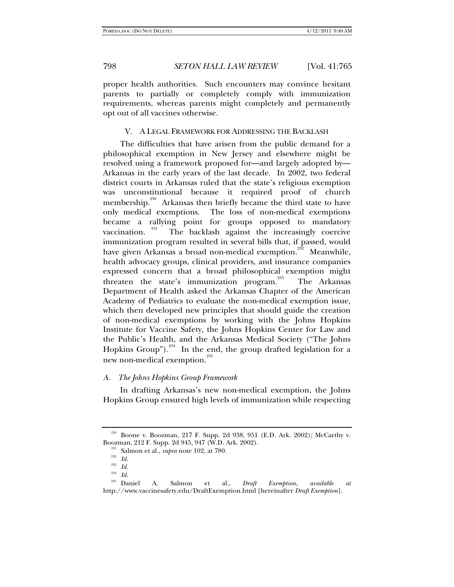proper health authorities. Such encounters may convince hesitant parents to partially or completely comply with immunization requirements, whereas parents might completely and permanently opt out of all vaccines otherwise.

#### V. A LEGAL FRAMEWORK FOR ADDRESSING THE BACKLASH

The difficulties that have arisen from the public demand for a philosophical exemption in New Jersey and elsewhere might be resolved using a framework proposed for—and largely adopted by— Arkansas in the early years of the last decade. In 2002, two federal district courts in Arkansas ruled that the state's religious exemption was unconstitutional because it required proof of church membership.<sup>230</sup> Arkansas then briefly became the third state to have only medical exemptions. The loss of non-medical exemptions became a rallying point for groups opposed to mandatory vaccination. The backlash against the increasingly coercive The backlash against the increasingly coercive immunization program resulted in several bills that, if passed, would have given Arkansas a broad non-medical exemption.<sup>232</sup> Meanwhile, health advocacy groups, clinical providers, and insurance companies expressed concern that a broad philosophical exemption might threaten the state's immunization program.<sup>233</sup> The Arkansas Department of Health asked the Arkansas Chapter of the American Academy of Pediatrics to evaluate the non-medical exemption issue, which then developed new principles that should guide the creation of non-medical exemptions by working with the Johns Hopkins Institute for Vaccine Safety, the Johns Hopkins Center for Law and the Public's Health, and the Arkansas Medical Society ("The Johns Hopkins Group").<sup>234</sup> In the end, the group drafted legislation for a new non-medical exemption.<sup>235</sup>

### *A. The Johns Hopkins Group Framework*

In drafting Arkansas's new non-medical exemption, the Johns Hopkins Group ensured high levels of immunization while respecting

<sup>230</sup> Boone v. Boozman, 217 F. Supp. 2d 938, 951 (E.D. Ark. 2002); McCarthy v. Boozman, 212 F. Supp. 2d 945, 947 (W.D. Ark. 2002). 231 Salmon et al., *supra* note 102, at 780. 232 *Id.*

 $\frac{^{233}}{^{234}}$  *Id.* 

<sup>234</sup> *Id.*

<sup>235</sup> Daniel A. Salmon et al., *Draft Exemption*, *available at* http://www.vaccinesafety.edu/DraftExemption.html [hereinafter *Draft Exemption*].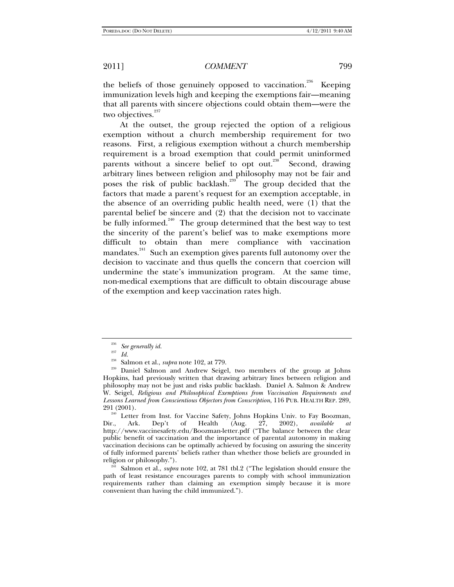the beliefs of those genuinely opposed to vaccination.<sup>236</sup> Keeping immunization levels high and keeping the exemptions fair—meaning that all parents with sincere objections could obtain them—were the two objectives. $237$ 

At the outset, the group rejected the option of a religious exemption without a church membership requirement for two reasons. First, a religious exemption without a church membership requirement is a broad exemption that could permit uninformed parents without a sincere belief to opt out.<sup>238</sup> Second, drawing arbitrary lines between religion and philosophy may not be fair and poses the risk of public backlash.<sup>239</sup> The group decided that the factors that made a parent's request for an exemption acceptable, in the absence of an overriding public health need, were (1) that the parental belief be sincere and (2) that the decision not to vaccinate be fully informed.<sup>240</sup> The group determined that the best way to test the sincerity of the parent's belief was to make exemptions more difficult to obtain than mere compliance with vaccination mandates.<sup>241</sup> Such an exemption gives parents full autonomy over the decision to vaccinate and thus quells the concern that coercion will undermine the state's immunization program. At the same time, non-medical exemptions that are difficult to obtain discourage abuse of the exemption and keep vaccination rates high.

 $\frac{236}{237}$  See generally id.

 $\frac{237}{238}$  *Id.* 

<sup>&</sup>lt;sup>238</sup> Salmon et al., *supra* note 102, at 779.<br><sup>239</sup> Daniel Salmon and Andrew Seigel, two members of the group at Johns Hopkins, had previously written that drawing arbitrary lines between religion and philosophy may not be just and risks public backlash. Daniel A. Salmon & Andrew W. Seigel, *Religious and Philosophical Exemptions from Vaccination Requirements and Lessons Learned from Conscientious Objectors from Conscription*, 116 PUB. HEALTH REP. 289, 291 (2001).

<sup>&</sup>lt;sup>240</sup> Letter from Inst. for Vaccine Safety, Johns Hopkins Univ. to Fay Boozman, Dir., Ark. Dep't of Health (Aug. 27, 2002), *available at* of Health (Aug. 27, 2002), *available at* http://www.vaccinesafety.edu/Boozman-letter.pdf ("The balance between the clear public benefit of vaccination and the importance of parental autonomy in making vaccination decisions can be optimally achieved by focusing on assuring the sincerity of fully informed parents' beliefs rather than whether those beliefs are grounded in religion or philosophy."). 241 Salmon et al., *supra* note 102, at 781 tbl.2 ("The legislation should ensure the

path of least resistance encourages parents to comply with school immunization requirements rather than claiming an exemption simply because it is more convenient than having the child immunized.").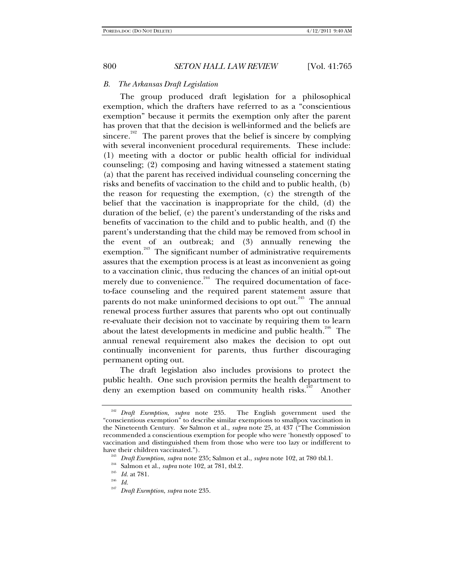#### *B. The Arkansas Draft Legislation*

The group produced draft legislation for a philosophical exemption, which the drafters have referred to as a "conscientious exemption" because it permits the exemption only after the parent has proven that that the decision is well-informed and the beliefs are sincere.<sup>242</sup> The parent proves that the belief is sincere by complying with several inconvenient procedural requirements. These include: (1) meeting with a doctor or public health official for individual counseling; (2) composing and having witnessed a statement stating (a) that the parent has received individual counseling concerning the risks and benefits of vaccination to the child and to public health, (b) the reason for requesting the exemption, (c) the strength of the belief that the vaccination is inappropriate for the child, (d) the duration of the belief, (e) the parent's understanding of the risks and benefits of vaccination to the child and to public health, and (f) the parent's understanding that the child may be removed from school in the event of an outbreak; and (3) annually renewing the exemption.<sup>243</sup> The significant number of administrative requirements assures that the exemption process is at least as inconvenient as going to a vaccination clinic, thus reducing the chances of an initial opt-out merely due to convenience.<sup>244</sup> The required documentation of faceto-face counseling and the required parent statement assure that parents do not make uninformed decisions to opt out.<sup>245</sup> The annual renewal process further assures that parents who opt out continually re-evaluate their decision not to vaccinate by requiring them to learn about the latest developments in medicine and public health.<sup>246</sup> The annual renewal requirement also makes the decision to opt out continually inconvenient for parents, thus further discouraging permanent opting out.

The draft legislation also includes provisions to protect the public health. One such provision permits the health department to deny an exemption based on community health risks.<sup>247</sup> Another

<sup>&</sup>lt;sup>242</sup> Draft Exemption, *supra* note 235. The English government used the "conscientious exemption" to describe similar exemptions to smallpox vaccination in the Nineteenth Century. *See* Salmon et al., *supra* note 25, at 437 ("The Commission recommended a conscientious exemption for people who were 'honestly opposed' to vaccination and distinguished them from those who were too lazy or indifferent to have their children vaccinated.").<br><sup>243</sup> *Draft Exemption, supra* note 235; Salmon et al., *supra* note 102, at 780 tbl.1.<br><sup>244</sup> Salmon et al., *supra* note 102, at 781, tbl.2.

<sup>&</sup>lt;sup>245</sup> *Id.* at 781.<br><sup>246</sup> *Id.*<br><sup>247</sup> *Draft Exem* 

<sup>247</sup> *Draft Exemption*, *supra* note 235.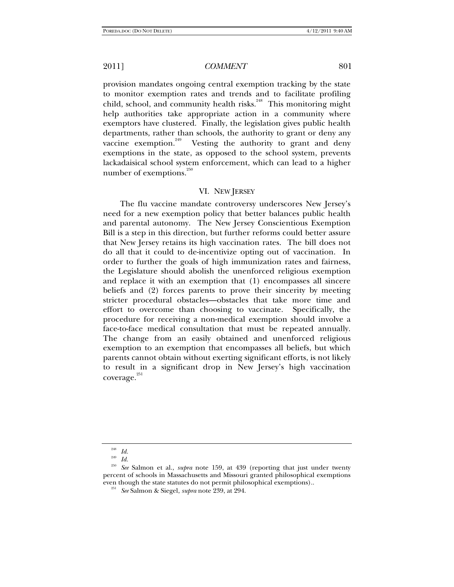provision mandates ongoing central exemption tracking by the state to monitor exemption rates and trends and to facilitate profiling child, school, and community health risks.<sup>248</sup> This monitoring might help authorities take appropriate action in a community where exemptors have clustered. Finally, the legislation gives public health departments, rather than schools, the authority to grant or deny any vaccine exemption.<sup>249</sup> Vesting the authority to grant and deny exemptions in the state, as opposed to the school system, prevents lackadaisical school system enforcement, which can lead to a higher number of exemptions. $250$ 

## VI. NEW JERSEY

The flu vaccine mandate controversy underscores New Jersey's need for a new exemption policy that better balances public health and parental autonomy. The New Jersey Conscientious Exemption Bill is a step in this direction, but further reforms could better assure that New Jersey retains its high vaccination rates. The bill does not do all that it could to de-incentivize opting out of vaccination. In order to further the goals of high immunization rates and fairness, the Legislature should abolish the unenforced religious exemption and replace it with an exemption that (1) encompasses all sincere beliefs and (2) forces parents to prove their sincerity by meeting stricter procedural obstacles—obstacles that take more time and effort to overcome than choosing to vaccinate. Specifically, the procedure for receiving a non-medical exemption should involve a face-to-face medical consultation that must be repeated annually. The change from an easily obtained and unenforced religious exemption to an exemption that encompasses all beliefs, but which parents cannot obtain without exerting significant efforts, is not likely to result in a significant drop in New Jersey's high vaccination coverage.<sup>251</sup>

 $\frac{^{248}}{^{249}}$  *Id.* 

<sup>249</sup> *Id.*

<sup>250</sup> *See* Salmon et al., *supra* note 159, at 439 (reporting that just under twenty percent of schools in Massachusetts and Missouri granted philosophical exemptions even though the state statutes do not permit philosophical exemptions).. 251 *See* Salmon & Siegel, *supra* note 239, at 294.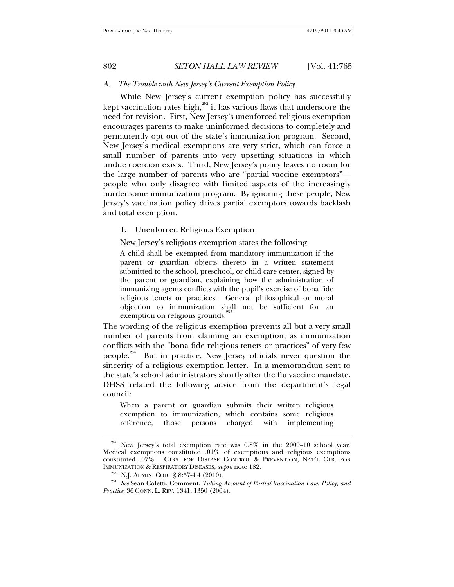#### *A. The Trouble with New Jersey's Current Exemption Policy*

While New Jersey's current exemption policy has successfully kept vaccination rates high, $^{252}$  it has various flaws that underscore the need for revision. First, New Jersey's unenforced religious exemption encourages parents to make uninformed decisions to completely and permanently opt out of the state's immunization program. Second, New Jersey's medical exemptions are very strict, which can force a small number of parents into very upsetting situations in which undue coercion exists. Third, New Jersey's policy leaves no room for the large number of parents who are "partial vaccine exemptors" people who only disagree with limited aspects of the increasingly burdensome immunization program. By ignoring these people, New Jersey's vaccination policy drives partial exemptors towards backlash and total exemption.

#### 1. Unenforced Religious Exemption

New Jersey's religious exemption states the following:

A child shall be exempted from mandatory immunization if the parent or guardian objects thereto in a written statement submitted to the school, preschool, or child care center, signed by the parent or guardian, explaining how the administration of immunizing agents conflicts with the pupil's exercise of bona fide religious tenets or practices. General philosophical or moral objection to immunization shall not be sufficient for an exemption on religious grounds.<sup>253</sup>

The wording of the religious exemption prevents all but a very small number of parents from claiming an exemption, as immunization conflicts with the "bona fide religious tenets or practices" of very few people.254 But in practice, New Jersey officials never question the sincerity of a religious exemption letter. In a memorandum sent to the state's school administrators shortly after the flu vaccine mandate, DHSS related the following advice from the department's legal council:

When a parent or guardian submits their written religious exemption to immunization, which contains some religious reference, those persons charged with implementing

New Jersey's total exemption rate was  $0.8\%$  in the 2009–10 school year. Medical exemptions constituted .01% of exemptions and religious exemptions constituted .07%. CTRS. FOR DISEASE CONTROL & PREVENTION, NAT'L CTR. FOR

IMMUNIZATION & RESPIRATORY DISEASES, *supra* note 182. 253 N.J. ADMIN. CODE § 8:57-4.4 (2010). 254 *See* Sean Coletti, Comment, *Taking Account of Partial Vaccination Law, Policy, and Practice*, 36 CONN. L. REV. 1341, 1350 (2004).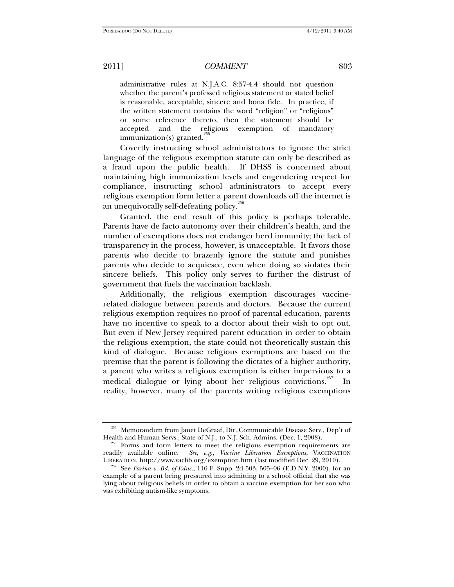administrative rules at N.J.A.C. 8:57-4.4 should not question whether the parent's professed religious statement or stated belief is reasonable, acceptable, sincere and bona fide. In practice, if the written statement contains the word "religion" or "religious" or some reference thereto, then the statement should be accepted and the religious exemption of mandatory  $immunization(s)$  granted.<sup>2</sup>

Covertly instructing school administrators to ignore the strict language of the religious exemption statute can only be described as a fraud upon the public health. If DHSS is concerned about maintaining high immunization levels and engendering respect for compliance, instructing school administrators to accept every religious exemption form letter a parent downloads off the internet is an unequivocally self-defeating policy. $256$ 

Granted, the end result of this policy is perhaps tolerable. Parents have de facto autonomy over their children's health, and the number of exemptions does not endanger herd immunity; the lack of transparency in the process, however, is unacceptable. It favors those parents who decide to brazenly ignore the statute and punishes parents who decide to acquiesce, even when doing so violates their sincere beliefs. This policy only serves to further the distrust of government that fuels the vaccination backlash.

Additionally, the religious exemption discourages vaccinerelated dialogue between parents and doctors. Because the current religious exemption requires no proof of parental education, parents have no incentive to speak to a doctor about their wish to opt out. But even if New Jersey required parent education in order to obtain the religious exemption, the state could not theoretically sustain this kind of dialogue. Because religious exemptions are based on the premise that the parent is following the dictates of a higher authority, a parent who writes a religious exemption is either impervious to a medical dialogue or lying about her religious convictions.<sup>257</sup> In reality, however, many of the parents writing religious exemptions

<sup>255</sup> Memorandum from Janet DeGraaf, Dir.,Communicable Disease Serv., Dep't of Health and Human Servs., State of N.J., to N.J. Sch. Admins. (Dec. 1, 2008). 256 Forms and form letters to meet the religious exemption requirements are

readily available online. *See*, *e.g.*, *Vaccine Liberation Exemptions*, VACCINATION LIBERATION, http://www.vaclib.org/exemption.htm (last modified Dec. 29, 2010).

 $257$  See *Farina v. Bd. of Educ.*, 116 F. Supp. 2d 503, 505–06 (E.D.N.Y. 2000), for an example of a parent being pressured into admitting to a school official that she was lying about religious beliefs in order to obtain a vaccine exemption for her son who was exhibiting autism-like symptoms.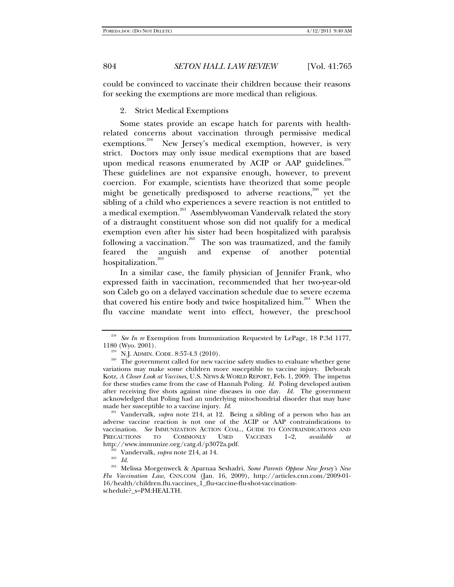could be convinced to vaccinate their children because their reasons for seeking the exemptions are more medical than religious.

2. Strict Medical Exemptions

Some states provide an escape hatch for parents with healthrelated concerns about vaccination through permissive medical exemptions.<sup>258</sup> New Jersey's medical exemption, however, is very strict. Doctors may only issue medical exemptions that are based upon medical reasons enumerated by ACIP or AAP guidelines.<sup>259</sup> These guidelines are not expansive enough, however, to prevent coercion. For example, scientists have theorized that some people might be genetically predisposed to adverse reactions,<sup>260</sup> yet the sibling of a child who experiences a severe reaction is not entitled to a medical exemption.<sup>261</sup> Assemblywoman Vandervalk related the story of a distraught constituent whose son did not qualify for a medical exemption even after his sister had been hospitalized with paralysis following a vaccination.<sup>262</sup> The son was traumatized, and the family feared the anguish and expense of another potential hospitalization.<sup>263</sup>

In a similar case, the family physician of Jennifer Frank, who expressed faith in vaccination, recommended that her two-year-old son Caleb go on a delayed vaccination schedule due to severe eczema that covered his entire body and twice hospitalized him.<sup>264</sup> When the flu vaccine mandate went into effect, however, the preschool

261 Vandervalk, *supra* note 214, at 12. Being a sibling of a person who has an adverse vaccine reaction is not one of the ACIP or AAP contraindications to vaccination. *See* IMMUNIZATION ACTION COAL., GUIDE TO CONTRAINDICATIONS AND TO COMMONLY USED VACCINES 1-2, *available at* http://www.immunize.org/catg.d/p3072a.pdf.

262 Vandervalk, *supra* note 214, at 14. 263 *Id.*

 $^{258}$  *See In re* Exemption from Immunization Requested by LePage, 18 P.3d 1177, 1180 (Wyo. 2001).

<sup>&</sup>lt;sup>259</sup> N.J. ADMIN. CODE. 8:57-4.3 (2010). <sup>250</sup> The government called for new vaccine safety studies to evaluate whether gene variations may make some children more susceptible to vaccine injury. Deborah Kotz, *A Closer Look at Vaccines*, U.S. NEWS & WORLD REPORT, Feb. 1, 2009. The impetus for these studies came from the case of Hannah Poling. *Id.* Poling developed autism after receiving five shots against nine diseases in one day. *Id.* The government acknowledged that Poling had an underlying mitochondrial disorder that may have made her susceptible to a vaccine injury. *Id.*

<sup>264</sup> Melissa Morgenweck & Aparnaa Seshadri, *Some Parents Oppose New Jersey's New Flu Vaccination Law*, CNN.COM (Jan. 16, 2009), http://articles.cnn.com/2009-01- 16/health/children.flu.vaccines\_1\_flu-vaccine-flu-shot-vaccinationschedule?\_s=PM:HEALTH.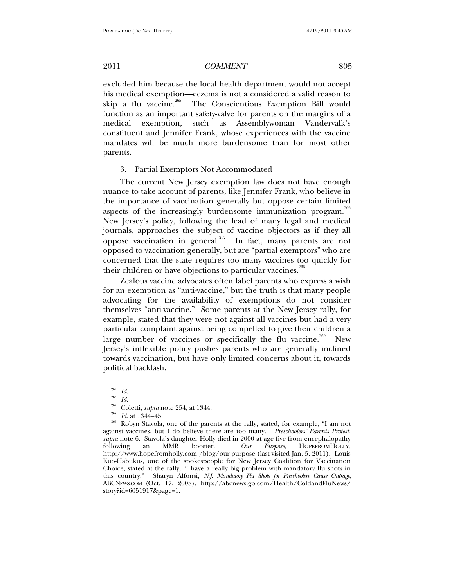excluded him because the local health department would not accept his medical exemption—eczema is not a considered a valid reason to skip a flu vaccine.<sup>265</sup> The Conscientious Exemption Bill would function as an important safety-valve for parents on the margins of a medical exemption, such as Assemblywoman Vandervalk's constituent and Jennifer Frank, whose experiences with the vaccine mandates will be much more burdensome than for most other parents.

#### 3. Partial Exemptors Not Accommodated

The current New Jersey exemption law does not have enough nuance to take account of parents, like Jennifer Frank, who believe in the importance of vaccination generally but oppose certain limited aspects of the increasingly burdensome immunization program.<sup>266</sup> New Jersey's policy, following the lead of many legal and medical journals, approaches the subject of vaccine objectors as if they all oppose vaccination in general.<sup>267</sup> In fact, many parents are not opposed to vaccination generally, but are "partial exemptors" who are concerned that the state requires too many vaccines too quickly for their children or have objections to particular vaccines.<sup>268</sup>

Zealous vaccine advocates often label parents who express a wish for an exemption as "anti-vaccine," but the truth is that many people advocating for the availability of exemptions do not consider themselves "anti-vaccine." Some parents at the New Jersey rally, for example, stated that they were not against all vaccines but had a very particular complaint against being compelled to give their children a large number of vaccines or specifically the flu vaccine.<sup>269</sup> New Jersey's inflexible policy pushes parents who are generally inclined towards vaccination, but have only limited concerns about it, towards political backlash.

 $rac{265}{266}$  *Id.* 

 $\frac{266}{267}$  *Id.* 

<sup>&</sup>lt;sup>267</sup> Coletti, *supra* note 254, at 1344.<br><sup>268</sup> *Id.* at 1344–45.<br><sup>269</sup> Robyn Stavola, one of the parents at the rally, stated, for example, "I am not against vaccines, but I do believe there are too many." *Preschoolers' Parents Protest*, *supra* note 6. Stavola's daughter Holly died in 2000 at age five from encephalopathy following an MMR booster. Our Purpose, HOPEFROMHOLLY, following an MMR booster. *Our Purpose*, HOPEFROMHOLLY, http://www.hopefromholly.com /blog/our-purpose (last visited Jan. 5, 2011). Louis Kuo-Habukus, one of the spokespeople for New Jersey Coalition for Vaccination Choice, stated at the rally, "I have a really big problem with mandatory flu shots in this country." Sharyn Alfonsi, *N.J. Mandatory Flu Shots for Preschoolers Cause Outrage*, ABCNEWS.COM (Oct. 17, 2008), http://abcnews.go.com/Health/ColdandFluNews/ story?id=6051917&page=1.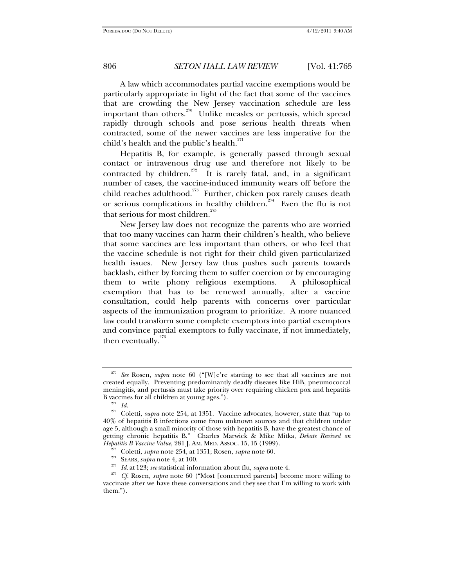A law which accommodates partial vaccine exemptions would be particularly appropriate in light of the fact that some of the vaccines that are crowding the New Jersey vaccination schedule are less important than others.<sup>270</sup> Unlike measles or pertussis, which spread rapidly through schools and pose serious health threats when contracted, some of the newer vaccines are less imperative for the child's health and the public's health. $^{271}$ 

Hepatitis B, for example, is generally passed through sexual contact or intravenous drug use and therefore not likely to be contracted by children.<sup>272</sup> It is rarely fatal, and, in a significant number of cases, the vaccine-induced immunity wears off before the child reaches adulthood.<sup>273</sup> Further, chicken pox rarely causes death or serious complications in healthy children.<sup> $274$ </sup> Even the flu is not that serious for most children.<sup> $275$ </sup>

New Jersey law does not recognize the parents who are worried that too many vaccines can harm their children's health, who believe that some vaccines are less important than others, or who feel that the vaccine schedule is not right for their child given particularized health issues. New Jersey law thus pushes such parents towards backlash, either by forcing them to suffer coercion or by encouraging them to write phony religious exemptions. A philosophical exemption that has to be renewed annually, after a vaccine consultation, could help parents with concerns over particular aspects of the immunization program to prioritize. A more nuanced law could transform some complete exemptors into partial exemptors and convince partial exemptors to fully vaccinate, if not immediately, then eventually. $276$ 

<sup>270</sup> *See* Rosen, *supra* note 60 ("[W]e're starting to see that all vaccines are not created equally. Preventing predominantly deadly diseases like HiB, pneumococcal meningitis, and pertussis must take priority over requiring chicken pox and hepatitis B vaccines for all children at young ages.").<br> $\frac{271}{272}$  *Id.*<br> $\frac{272}{272}$  Coletti, subra note  $\frac{954}{272}$  at 1351. Vac.

Coletti, *supra* note 254, at 1351. Vaccine advocates, however, state that "up to 40% of hepatitis B infections come from unknown sources and that children under age 5, although a small minority of those with hepatitis B, have the greatest chance of getting chronic hepatitis B." Charles Marwick & Mike Mitka, *Debate Revived on* 

<sup>&</sup>lt;sup>273</sup> Coletti, *supra* note 254, at 1351; Rosen, *supra* note 60.<br><sup>274</sup> SEARS, *supra* note 4, at 100.<br><sup>275</sup> Id. at 123; *see* statistical information about flu, *supra* note 4.<br><sup>275</sup> Cf. Rosen, *supra* note 60 ("Most [co vaccinate after we have these conversations and they see that I'm willing to work with them.").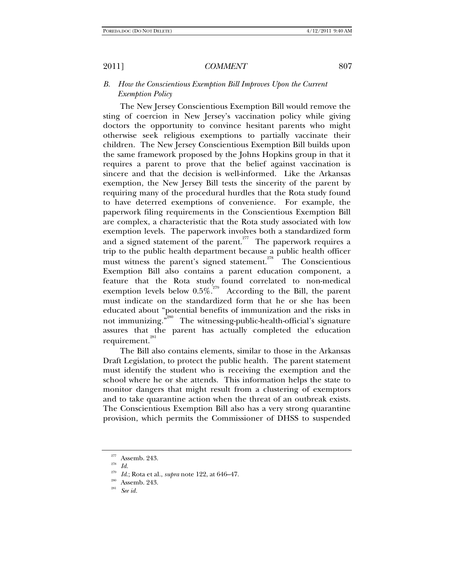# *B. How the Conscientious Exemption Bill Improves Upon the Current Exemption Policy*

The New Jersey Conscientious Exemption Bill would remove the sting of coercion in New Jersey's vaccination policy while giving doctors the opportunity to convince hesitant parents who might otherwise seek religious exemptions to partially vaccinate their children. The New Jersey Conscientious Exemption Bill builds upon the same framework proposed by the Johns Hopkins group in that it requires a parent to prove that the belief against vaccination is sincere and that the decision is well-informed. Like the Arkansas exemption, the New Jersey Bill tests the sincerity of the parent by requiring many of the procedural hurdles that the Rota study found to have deterred exemptions of convenience. For example, the paperwork filing requirements in the Conscientious Exemption Bill are complex, a characteristic that the Rota study associated with low exemption levels. The paperwork involves both a standardized form and a signed statement of the parent.<sup>277</sup> The paperwork requires a trip to the public health department because a public health officer must witness the parent's signed statement.<sup>278</sup> The Conscientious Exemption Bill also contains a parent education component, a feature that the Rota study found correlated to non-medical exemption levels below  $0.5\%$ <sup>279</sup> According to the Bill, the parent must indicate on the standardized form that he or she has been educated about "potential benefits of immunization and the risks in not immunizing."<sup>280</sup> The witnessing-public-health-official's signature assures that the parent has actually completed the education requirement.<sup>281</sup>

The Bill also contains elements, similar to those in the Arkansas Draft Legislation, to protect the public health. The parent statement must identify the student who is receiving the exemption and the school where he or she attends. This information helps the state to monitor dangers that might result from a clustering of exemptors and to take quarantine action when the threat of an outbreak exists. The Conscientious Exemption Bill also has a very strong quarantine provision, which permits the Commissioner of DHSS to suspended

<sup>277</sup> Assemb. 243. 278 *Id.*

<sup>&</sup>lt;sup>279</sup> *Id.*; Rota et al., *supra* note 122, at 646–47.<br><sup>280</sup> Assemb. 243.<br>*See id.*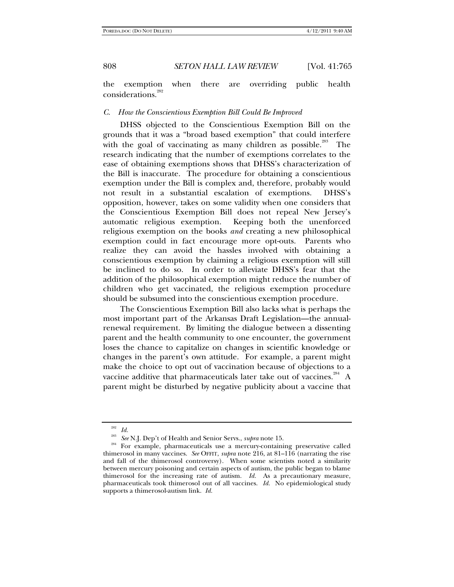the exemption when there are overriding public health considerations.<sup>282</sup>

#### *C. How the Conscientious Exemption Bill Could Be Improved*

DHSS objected to the Conscientious Exemption Bill on the grounds that it was a "broad based exemption" that could interfere with the goal of vaccinating as many children as possible.<sup>283</sup> The research indicating that the number of exemptions correlates to the ease of obtaining exemptions shows that DHSS's characterization of the Bill is inaccurate. The procedure for obtaining a conscientious exemption under the Bill is complex and, therefore, probably would not result in a substantial escalation of exemptions. DHSS's opposition, however, takes on some validity when one considers that the Conscientious Exemption Bill does not repeal New Jersey's automatic religious exemption. Keeping both the unenforced religious exemption on the books *and* creating a new philosophical exemption could in fact encourage more opt-outs. Parents who realize they can avoid the hassles involved with obtaining a conscientious exemption by claiming a religious exemption will still be inclined to do so. In order to alleviate DHSS's fear that the addition of the philosophical exemption might reduce the number of children who get vaccinated, the religious exemption procedure should be subsumed into the conscientious exemption procedure.

The Conscientious Exemption Bill also lacks what is perhaps the most important part of the Arkansas Draft Legislation—the annualrenewal requirement. By limiting the dialogue between a dissenting parent and the health community to one encounter, the government loses the chance to capitalize on changes in scientific knowledge or changes in the parent's own attitude. For example, a parent might make the choice to opt out of vaccination because of objections to a vaccine additive that pharmaceuticals later take out of vaccines.<sup>284</sup> A parent might be disturbed by negative publicity about a vaccine that

<sup>&</sup>lt;sup>282</sup> *Id.*<br><sup>283</sup> *See* N.J. Dep't of Health and Senior Servs., *supra* note 15.

<sup>&</sup>lt;sup>284</sup> For example, pharmaceuticals use a mercury-containing preservative called thimerosol in many vaccines. *See* OFFIT, *supra* note 216, at 81–116 (narrating the rise and fall of the thimerosol controversy). When some scientists noted a similarity between mercury poisoning and certain aspects of autism, the public began to blame thimerosol for the increasing rate of autism. *Id.* As a precautionary measure, pharmaceuticals took thimerosol out of all vaccines. *Id.* No epidemiological study supports a thimerosol-autism link. *Id.*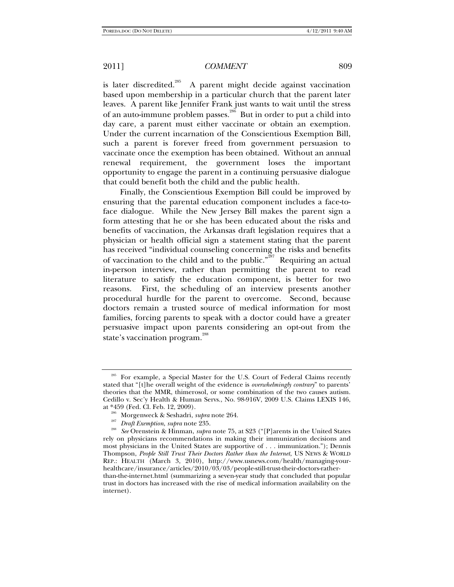is later discredited.<sup>285</sup> A parent might decide against vaccination based upon membership in a particular church that the parent later leaves. A parent like Jennifer Frank just wants to wait until the stress of an auto-immune problem passes.<sup>286</sup> But in order to put a child into day care, a parent must either vaccinate or obtain an exemption. Under the current incarnation of the Conscientious Exemption Bill, such a parent is forever freed from government persuasion to vaccinate once the exemption has been obtained. Without an annual renewal requirement, the government loses the important opportunity to engage the parent in a continuing persuasive dialogue that could benefit both the child and the public health.

Finally, the Conscientious Exemption Bill could be improved by ensuring that the parental education component includes a face-toface dialogue. While the New Jersey Bill makes the parent sign a form attesting that he or she has been educated about the risks and benefits of vaccination, the Arkansas draft legislation requires that a physician or health official sign a statement stating that the parent has received "individual counseling concerning the risks and benefits of vaccination to the child and to the public."<sup> $287$ </sup> Requiring an actual in-person interview, rather than permitting the parent to read literature to satisfy the education component, is better for two reasons. First, the scheduling of an interview presents another procedural hurdle for the parent to overcome. Second, because doctors remain a trusted source of medical information for most families, forcing parents to speak with a doctor could have a greater persuasive impact upon parents considering an opt-out from the state's vaccination program.<sup>288</sup>

<sup>&</sup>lt;sup>285</sup> For example, a Special Master for the U.S. Court of Federal Claims recently stated that "[t]he overall weight of the evidence is *overwhelmingly contrary*" to parents' theories that the MMR, thimerosol, or some combination of the two causes autism. Cedillo v. Sec'y Health & Human Servs., No. 98-916V, 2009 U.S. Claims LEXIS 146,

<sup>&</sup>lt;sup>286</sup> Morgenweck & Seshadri, *supra* note 264.<br><sup>287</sup> *Draft Exemption, supra* note 235.<br><sup>288</sup> *See* Orenstein & Hinman, *supra* note 75, at S23 ("[P] arents in the United States rely on physicians recommendations in making their immunization decisions and most physicians in the United States are supportive of . . . immunization."); Dennis Thompson, *People Still Trust Their Doctors Rather than the Internet*, US NEWS & WORLD REP.: HEALTH (March 3, 2010), http://www.usnews.com/health/managing-yourhealthcare/insurance/articles/2010/03/03/people-still-trust-their-doctors-ratherthan-the-internet.html (summarizing a seven-year study that concluded that popular trust in doctors has increased with the rise of medical information availability on the internet).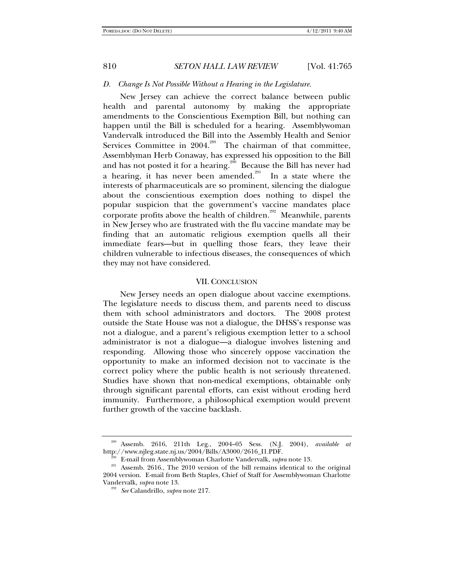#### *D. Change Is Not Possible Without a Hearing in the Legislature.*

New Jersey can achieve the correct balance between public health and parental autonomy by making the appropriate amendments to the Conscientious Exemption Bill, but nothing can happen until the Bill is scheduled for a hearing. Assemblywoman Vandervalk introduced the Bill into the Assembly Health and Senior Services Committee in  $2004$ <sup>289</sup> The chairman of that committee, Assemblyman Herb Conaway, has expressed his opposition to the Bill and has not posted it for a hearing.<sup>290</sup> Because the Bill has never had a hearing, it has never been amended.<sup>291</sup> In a state where the interests of pharmaceuticals are so prominent, silencing the dialogue about the conscientious exemption does nothing to dispel the popular suspicion that the government's vaccine mandates place corporate profits above the health of children.<sup>292</sup> Meanwhile, parents in New Jersey who are frustrated with the flu vaccine mandate may be finding that an automatic religious exemption quells all their immediate fears—but in quelling those fears, they leave their children vulnerable to infectious diseases, the consequences of which they may not have considered.

### VII. CONCLUSION

New Jersey needs an open dialogue about vaccine exemptions. The legislature needs to discuss them, and parents need to discuss them with school administrators and doctors. The 2008 protest outside the State House was not a dialogue, the DHSS's response was not a dialogue, and a parent's religious exemption letter to a school administrator is not a dialogue—a dialogue involves listening and responding. Allowing those who sincerely oppose vaccination the opportunity to make an informed decision not to vaccinate is the correct policy where the public health is not seriously threatened. Studies have shown that non-medical exemptions, obtainable only through significant parental efforts, can exist without eroding herd immunity. Furthermore, a philosophical exemption would prevent further growth of the vaccine backlash.

<sup>&</sup>lt;sup>289</sup> Assemb. 2616, 211th Leg., 2004–05 Sess. (N.J. 2004), *available at* http://www.njleg.state.nj.us/2004/Bills/A3000/2616\_I1.PDF.

<sup>&</sup>lt;sup>290</sup> E-mail from Assemblywoman Charlotte Vandervalk, *supra* note 13. <br><sup>291</sup> Assemb. 2616., The 2010 version of the bill remains identical to the original 2004 version. E-mail from Beth Staples, Chief of Staff for Assemblywoman Charlotte Vandervalk, *supra* note 13. 292 *See* Calandrillo, *supra* note 217.